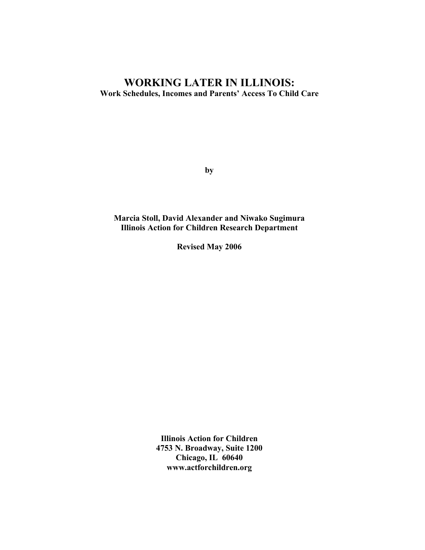# **WORKING LATER IN ILLINOIS: Work Schedules, Incomes and Parents' Access To Child Care**

**by** 

**Marcia Stoll, David Alexander and Niwako Sugimura Illinois Action for Children Research Department** 

**Revised May 2006** 

**Illinois Action for Children 4753 N. Broadway, Suite 1200 Chicago, IL 60640 www.actforchildren.org**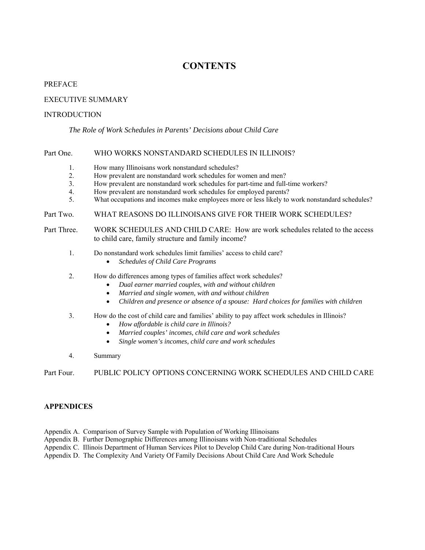# **CONTENTS**

#### PREFACE

#### EXECUTIVE SUMMARY

#### **INTRODUCTION**

#### *The Role of Work Schedules in Parents' Decisions about Child Care*

#### Part One. WHO WORKS NONSTANDARD SCHEDULES IN ILLINOIS?

- 1. How many Illinoisans work nonstandard schedules?
- 2. How prevalent are nonstandard work schedules for women and men?
- 3. How prevalent are nonstandard work schedules for part-time and full-time workers?
- 4. How prevalent are nonstandard work schedules for employed parents?
- 5. What occupations and incomes make employees more or less likely to work nonstandard schedules?

#### Part Two. WHAT REASONS DO ILLINOISANS GIVE FOR THEIR WORK SCHEDULES?

Part Three. WORK SCHEDULES AND CHILD CARE: How are work schedules related to the access to child care, family structure and family income?

- 1. Do nonstandard work schedules limit families' access to child care?
	- *Schedules of Child Care Programs*
- 2. How do differences among types of families affect work schedules?
	- *Dual earner married couples, with and without children*
		- *Married and single women, with and without children*
	- *Children and presence or absence of a spouse: Hard choices for families with children*

#### 3. How do the cost of child care and families' ability to pay affect work schedules in Illinois?

- *How affordable is child care in Illinois?*
- *Married couples' incomes, child care and work schedules*
- *Single women's incomes, child care and work schedules*
- 4. Summary

#### Part Four. PUBLIC POLICY OPTIONS CONCERNING WORK SCHEDULES AND CHILD CARE

#### **APPENDICES**

- Appendix A. Comparison of Survey Sample with Population of Working Illinoisans
- Appendix B. Further Demographic Differences among Illinoisans with Non-traditional Schedules
- Appendix C. Illinois Department of Human Services Pilot to Develop Child Care during Non-traditional Hours
- Appendix D. The Complexity And Variety Of Family Decisions About Child Care And Work Schedule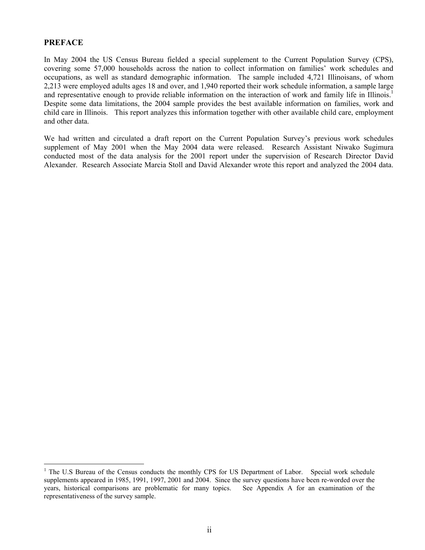## **PREFACE**

<u>.</u>

In May 2004 the US Census Bureau fielded a special supplement to the Current Population Survey (CPS), covering some 57,000 households across the nation to collect information on families' work schedules and occupations, as well as standard demographic information. The sample included 4,721 Illinoisans, of whom 2,213 were employed adults ages 18 and over, and 1,940 reported their work schedule information, a sample large and representative enough to provide reliable information on the interaction of work and family life in Illinois.<sup>1</sup> Despite some data limitations, the 2004 sample provides the best available information on families, work and child care in Illinois. This report analyzes this information together with other available child care, employment and other data.

We had written and circulated a draft report on the Current Population Survey's previous work schedules supplement of May 2001 when the May 2004 data were released. Research Assistant Niwako Sugimura conducted most of the data analysis for the 2001 report under the supervision of Research Director David Alexander. Research Associate Marcia Stoll and David Alexander wrote this report and analyzed the 2004 data.

<span id="page-2-0"></span><sup>&</sup>lt;sup>1</sup> The U.S Bureau of the Census conducts the monthly CPS for US Department of Labor. Special work schedule supplements appeared in 1985, 1991, 1997, 2001 and 2004. Since the survey questions have been re-worded over the years, historical comparisons are problematic for many topics. See Appendix A for an examination of the representativeness of the survey sample.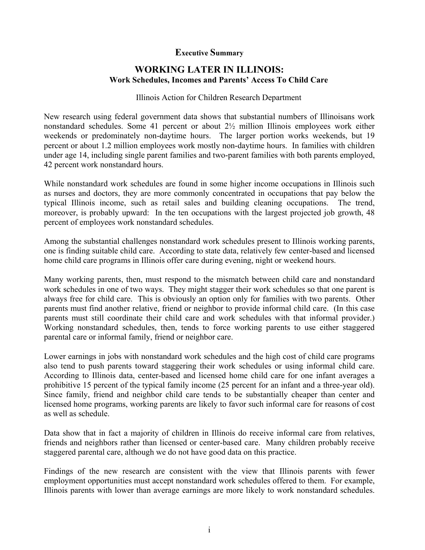# **Executive Summary**

# **WORKING LATER IN ILLINOIS: Work Schedules, Incomes and Parents' Access To Child Care**

## Illinois Action for Children Research Department

New research using federal government data shows that substantial numbers of Illinoisans work nonstandard schedules. Some 41 percent or about 2½ million Illinois employees work either weekends or predominately non-daytime hours. The larger portion works weekends, but 19 percent or about 1.2 million employees work mostly non-daytime hours. In families with children under age 14, including single parent families and two-parent families with both parents employed, 42 percent work nonstandard hours.

While nonstandard work schedules are found in some higher income occupations in Illinois such as nurses and doctors, they are more commonly concentrated in occupations that pay below the typical Illinois income, such as retail sales and building cleaning occupations. The trend, moreover, is probably upward: In the ten occupations with the largest projected job growth, 48 percent of employees work nonstandard schedules.

Among the substantial challenges nonstandard work schedules present to Illinois working parents, one is finding suitable child care. According to state data, relatively few center-based and licensed home child care programs in Illinois offer care during evening, night or weekend hours.

Many working parents, then, must respond to the mismatch between child care and nonstandard work schedules in one of two ways. They might stagger their work schedules so that one parent is always free for child care. This is obviously an option only for families with two parents. Other parents must find another relative, friend or neighbor to provide informal child care. (In this case parents must still coordinate their child care and work schedules with that informal provider.) Working nonstandard schedules, then, tends to force working parents to use either staggered parental care or informal family, friend or neighbor care.

Lower earnings in jobs with nonstandard work schedules and the high cost of child care programs also tend to push parents toward staggering their work schedules or using informal child care. According to Illinois data, center-based and licensed home child care for one infant averages a prohibitive 15 percent of the typical family income (25 percent for an infant and a three-year old). Since family, friend and neighbor child care tends to be substantially cheaper than center and licensed home programs, working parents are likely to favor such informal care for reasons of cost as well as schedule.

Data show that in fact a majority of children in Illinois do receive informal care from relatives, friends and neighbors rather than licensed or center-based care. Many children probably receive staggered parental care, although we do not have good data on this practice.

Findings of the new research are consistent with the view that Illinois parents with fewer employment opportunities must accept nonstandard work schedules offered to them. For example, Illinois parents with lower than average earnings are more likely to work nonstandard schedules.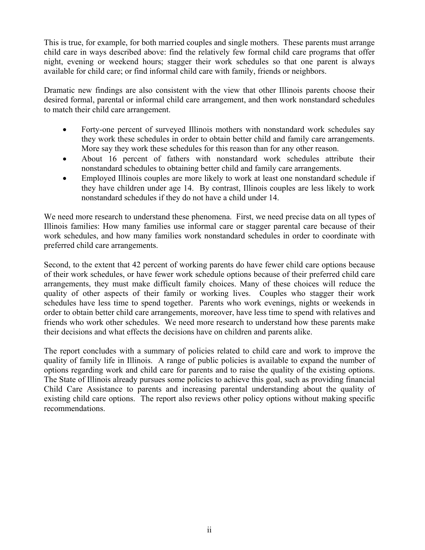This is true, for example, for both married couples and single mothers. These parents must arrange child care in ways described above: find the relatively few formal child care programs that offer night, evening or weekend hours; stagger their work schedules so that one parent is always available for child care; or find informal child care with family, friends or neighbors.

Dramatic new findings are also consistent with the view that other Illinois parents choose their desired formal, parental or informal child care arrangement, and then work nonstandard schedules to match their child care arrangement.

- Forty-one percent of surveyed Illinois mothers with nonstandard work schedules say they work these schedules in order to obtain better child and family care arrangements. More say they work these schedules for this reason than for any other reason.
- About 16 percent of fathers with nonstandard work schedules attribute their nonstandard schedules to obtaining better child and family care arrangements.
- Employed Illinois couples are more likely to work at least one nonstandard schedule if they have children under age 14. By contrast, Illinois couples are less likely to work nonstandard schedules if they do not have a child under 14.

We need more research to understand these phenomena. First, we need precise data on all types of Illinois families: How many families use informal care or stagger parental care because of their work schedules, and how many families work nonstandard schedules in order to coordinate with preferred child care arrangements.

Second, to the extent that 42 percent of working parents do have fewer child care options because of their work schedules, or have fewer work schedule options because of their preferred child care arrangements, they must make difficult family choices. Many of these choices will reduce the quality of other aspects of their family or working lives. Couples who stagger their work schedules have less time to spend together. Parents who work evenings, nights or weekends in order to obtain better child care arrangements, moreover, have less time to spend with relatives and friends who work other schedules. We need more research to understand how these parents make their decisions and what effects the decisions have on children and parents alike.

The report concludes with a summary of policies related to child care and work to improve the quality of family life in Illinois. A range of public policies is available to expand the number of options regarding work and child care for parents and to raise the quality of the existing options. The State of Illinois already pursues some policies to achieve this goal, such as providing financial Child Care Assistance to parents and increasing parental understanding about the quality of existing child care options. The report also reviews other policy options without making specific recommendations.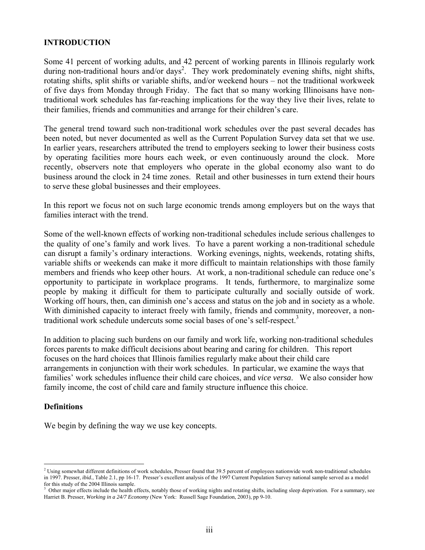## **INTRODUCTION**

Some 41 percent of working adults, and 42 percent of working parents in Illinois regularly work during non-traditional hours and/or days<sup>2</sup>. They work predominately evening shifts, night shifts, rotating shifts, split shifts or variable shifts, and/or weekend hours – not the traditional workweek of five days from Monday through Friday. The fact that so many working Illinoisans have nontraditional work schedules has far-reaching implications for the way they live their lives, relate to their families, friends and communities and arrange for their children's care.

The general trend toward such non-traditional work schedules over the past several decades has been noted, but never documented as well as the Current Population Survey data set that we use. In earlier years, researchers attributed the trend to employers seeking to lower their business costs by operating facilities more hours each week, or even continuously around the clock. More recently, observers note that employers who operate in the global economy also want to do business around the clock in 24 time zones. Retail and other businesses in turn extend their hours to serve these global businesses and their employees.

In this report we focus not on such large economic trends among employers but on the ways that families interact with the trend.

Some of the well-known effects of working non-traditional schedules include serious challenges to the quality of one's family and work lives. To have a parent working a non-traditional schedule can disrupt a family's ordinary interactions. Working evenings, nights, weekends, rotating shifts, variable shifts or weekends can make it more difficult to maintain relationships with those family members and friends who keep other hours. At work, a non-traditional schedule can reduce one's opportunity to participate in workplace programs. It tends, furthermore, to marginalize some people by making it difficult for them to participate culturally and socially outside of work. Working off hours, then, can diminish one's access and status on the job and in society as a whole. With diminished capacity to interact freely with family, friends and community, moreover, a non-traditional work schedule undercuts some social bases of one's self-respect.<sup>[3](#page-5-1)</sup>

In addition to placing such burdens on our family and work life, working non-traditional schedules forces parents to make difficult decisions about bearing and caring for children. This report focuses on the hard choices that Illinois families regularly make about their child care arrangements in conjunction with their work schedules. In particular, we examine the ways that families' work schedules influence their child care choices, and *vice versa*. We also consider how family income, the cost of child care and family structure influence this choice.

### **Definitions**

<u>.</u>

We begin by defining the way we use key concepts.

<span id="page-5-0"></span> $<sup>2</sup>$  Using somewhat different definitions of work schedules, Presser found that 39.5 percent of employees nationwide work non-traditional schedules</sup> in 1997. Presser, *ibid.*, Table 2.1, pp 16-17. Presser's excellent analysis of the 1997 Current Population Survey national sample served as a model for this study of the 2004 Illinois sample.

<span id="page-5-1"></span><sup>3</sup> Other major effects include the health effects, notably those of working nights and rotating shifts, including sleep deprivation. For a summary, see Harriet B. Presser, *Working in a 24/7 Economy* (New York: Russell Sage Foundation, 2003), pp 9-10.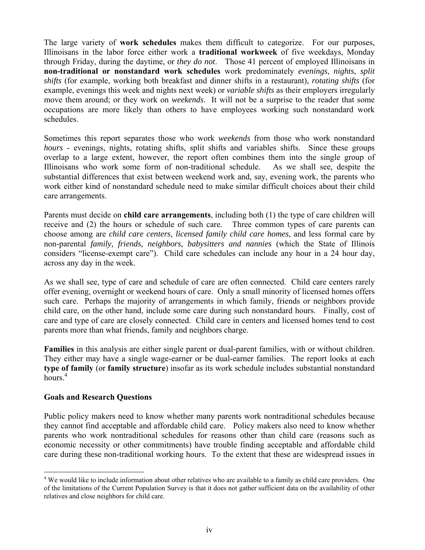The large variety of **work schedules** makes them difficult to categorize. For our purposes, Illinoisans in the labor force either work a **traditional workweek** of five weekdays, Monday through Friday, during the daytime, or *they do not*. Those 41 percent of employed Illinoisans in **non-traditional or nonstandard work schedules** work predominately *evenings*, *nights*, *split shifts* (for example, working both breakfast and dinner shifts in a restaurant), *rotating shifts* (for example, evenings this week and nights next week) or *variable shifts* as their employers irregularly move them around; or they work on *weekends*. It will not be a surprise to the reader that some occupations are more likely than others to have employees working such nonstandard work schedules.

Sometimes this report separates those who work *weekends* from those who work nonstandard *hours* - evenings, nights, rotating shifts, split shifts and variables shifts. Since these groups overlap to a large extent, however, the report often combines them into the single group of Illinoisans who work some form of non-traditional schedule. As we shall see, despite the substantial differences that exist between weekend work and, say, evening work, the parents who work either kind of nonstandard schedule need to make similar difficult choices about their child care arrangements.

Parents must decide on **child care arrangements**, including both (1) the type of care children will receive and (2) the hours or schedule of such care. Three common types of care parents can choose among are *child care centers*, *licensed family child care homes*, and less formal care by non-parental *family, friends, neighbors, babysitters and nannies* (which the State of Illinois considers "license-exempt care"). Child care schedules can include any hour in a 24 hour day, across any day in the week.

As we shall see, type of care and schedule of care are often connected. Child care centers rarely offer evening, overnight or weekend hours of care. Only a small minority of licensed homes offers such care. Perhaps the majority of arrangements in which family, friends or neighbors provide child care, on the other hand, include some care during such nonstandard hours. Finally, cost of care and type of care are closely connected. Child care in centers and licensed homes tend to cost parents more than what friends, family and neighbors charge.

**Families** in this analysis are either single parent or dual-parent families, with or without children. They either may have a single wage-earner or be dual-earner families. The report looks at each **type of family** (or **family structure**) insofar as its work schedule includes substantial nonstandard hours.<sup>4</sup>

### **Goals and Research Questions**

1

Public policy makers need to know whether many parents work nontraditional schedules because they cannot find acceptable and affordable child care. Policy makers also need to know whether parents who work nontraditional schedules for reasons other than child care (reasons such as economic necessity or other commitments) have trouble finding acceptable and affordable child care during these non-traditional working hours. To the extent that these are widespread issues in

<span id="page-6-0"></span><sup>&</sup>lt;sup>4</sup> We would like to include information about other relatives who are available to a family as child care providers. One of the limitations of the Current Population Survey is that it does not gather sufficient data on the availability of other relatives and close neighbors for child care.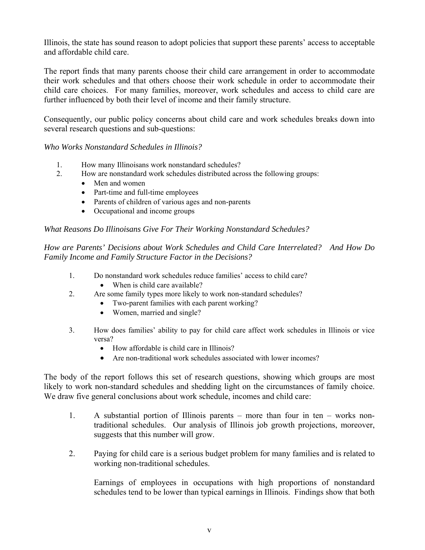Illinois, the state has sound reason to adopt policies that support these parents' access to acceptable and affordable child care.

The report finds that many parents choose their child care arrangement in order to accommodate their work schedules and that others choose their work schedule in order to accommodate their child care choices. For many families, moreover, work schedules and access to child care are further influenced by both their level of income and their family structure.

Consequently, our public policy concerns about child care and work schedules breaks down into several research questions and sub-questions:

*Who Works Nonstandard Schedules in Illinois?* 

- 1. How many Illinoisans work nonstandard schedules?
- 2. How are nonstandard work schedules distributed across the following groups:
	- Men and women
	- Part-time and full-time employees
	- Parents of children of various ages and non-parents
	- Occupational and income groups

*What Reasons Do Illinoisans Give For Their Working Nonstandard Schedules?* 

*How are Parents' Decisions about Work Schedules and Child Care Interrelated? And How Do Family Income and Family Structure Factor in the Decisions?*

- 1. Do nonstandard work schedules reduce families' access to child care? • When is child care available?
- 2. Are some family types more likely to work non-standard schedules?
	- Two-parent families with each parent working?
	- Women, married and single?
- 3. How does families' ability to pay for child care affect work schedules in Illinois or vice versa?
	- How affordable is child care in Illinois?
	- Are non-traditional work schedules associated with lower incomes?

The body of the report follows this set of research questions, showing which groups are most likely to work non-standard schedules and shedding light on the circumstances of family choice. We draw five general conclusions about work schedule, incomes and child care:

- 1. A substantial portion of Illinois parents more than four in ten works nontraditional schedules. Our analysis of Illinois job growth projections, moreover, suggests that this number will grow.
- 2. Paying for child care is a serious budget problem for many families and is related to working non-traditional schedules.

Earnings of employees in occupations with high proportions of nonstandard schedules tend to be lower than typical earnings in Illinois. Findings show that both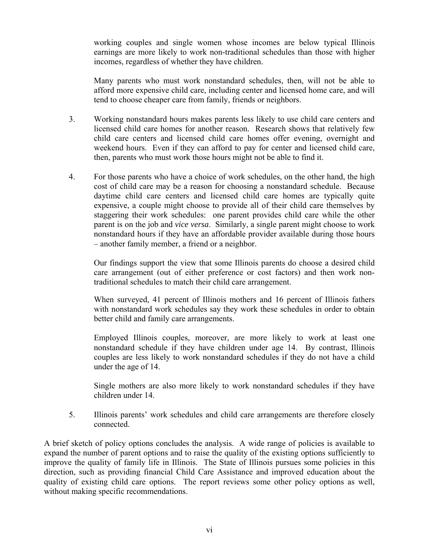working couples and single women whose incomes are below typical Illinois earnings are more likely to work non-traditional schedules than those with higher incomes, regardless of whether they have children.

Many parents who must work nonstandard schedules, then, will not be able to afford more expensive child care, including center and licensed home care, and will tend to choose cheaper care from family, friends or neighbors.

- 3. Working nonstandard hours makes parents less likely to use child care centers and licensed child care homes for another reason. Research shows that relatively few child care centers and licensed child care homes offer evening, overnight and weekend hours. Even if they can afford to pay for center and licensed child care, then, parents who must work those hours might not be able to find it.
- 4. For those parents who have a choice of work schedules, on the other hand, the high cost of child care may be a reason for choosing a nonstandard schedule. Because daytime child care centers and licensed child care homes are typically quite expensive, a couple might choose to provide all of their child care themselves by staggering their work schedules: one parent provides child care while the other parent is on the job and *vice versa*. Similarly, a single parent might choose to work nonstandard hours if they have an affordable provider available during those hours – another family member, a friend or a neighbor.

Our findings support the view that some Illinois parents do choose a desired child care arrangement (out of either preference or cost factors) and then work nontraditional schedules to match their child care arrangement.

When surveyed, 41 percent of Illinois mothers and 16 percent of Illinois fathers with nonstandard work schedules say they work these schedules in order to obtain better child and family care arrangements.

Employed Illinois couples, moreover, are more likely to work at least one nonstandard schedule if they have children under age 14. By contrast, Illinois couples are less likely to work nonstandard schedules if they do not have a child under the age of 14.

Single mothers are also more likely to work nonstandard schedules if they have children under 14.

5. Illinois parents' work schedules and child care arrangements are therefore closely connected.

A brief sketch of policy options concludes the analysis. A wide range of policies is available to expand the number of parent options and to raise the quality of the existing options sufficiently to improve the quality of family life in Illinois. The State of Illinois pursues some policies in this direction, such as providing financial Child Care Assistance and improved education about the quality of existing child care options. The report reviews some other policy options as well, without making specific recommendations.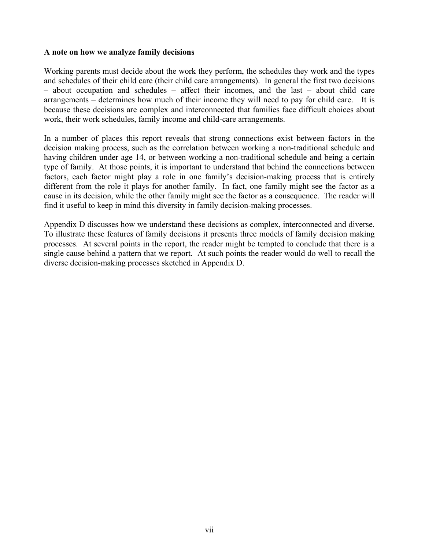#### **A note on how we analyze family decisions**

Working parents must decide about the work they perform, the schedules they work and the types and schedules of their child care (their child care arrangements). In general the first two decisions – about occupation and schedules – affect their incomes, and the last – about child care arrangements – determines how much of their income they will need to pay for child care. It is because these decisions are complex and interconnected that families face difficult choices about work, their work schedules, family income and child-care arrangements.

In a number of places this report reveals that strong connections exist between factors in the decision making process, such as the correlation between working a non-traditional schedule and having children under age 14, or between working a non-traditional schedule and being a certain type of family. At those points, it is important to understand that behind the connections between factors, each factor might play a role in one family's decision-making process that is entirely different from the role it plays for another family. In fact, one family might see the factor as a cause in its decision, while the other family might see the factor as a consequence. The reader will find it useful to keep in mind this diversity in family decision-making processes.

Appendix D discusses how we understand these decisions as complex, interconnected and diverse. To illustrate these features of family decisions it presents three models of family decision making processes. At several points in the report, the reader might be tempted to conclude that there is a single cause behind a pattern that we report. At such points the reader would do well to recall the diverse decision-making processes sketched in Appendix D.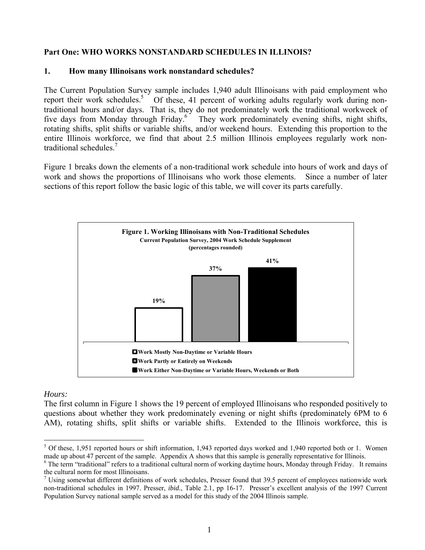## **Part One: WHO WORKS NONSTANDARD SCHEDULES IN ILLINOIS?**

### **1. How many Illinoisans work nonstandard schedules?**

The Current Population Survey sample includes 1,940 adult Illinoisans with paid employment who report their work schedules.<sup>5</sup> Of these, 41 percent of working adults regularly work during nontraditional hours and/or days. That is, they do not predominately work the traditional workweek of five days from Monday through Friday.<sup>6</sup> They work predominately evening shifts, night shifts, rotating shifts, split shifts or variable shifts, and/or weekend hours. Extending this proportion to the entire Illinois workforce, we find that about 2.5 million Illinois employees regularly work nontraditional schedules.<sup>7</sup>

Figure 1 breaks down the elements of a non-traditional work schedule into hours of work and days of work and shows the proportions of Illinoisans who work those elements. Since a number of later sections of this report follow the basic logic of this table, we will cover its parts carefully.



### *Hours:*

The first column in Figure 1 shows the 19 percent of employed Illinoisans who responded positively to questions about whether they work predominately evening or night shifts (predominately 6PM to 6 AM), rotating shifts, split shifts or variable shifts. Extended to the Illinois workforce, this is

<span id="page-10-0"></span><sup>&</sup>lt;u>.</u>  $5$  Of these, 1,951 reported hours or shift information, 1,943 reported days worked and 1,940 reported both or 1. Women made up about 47 percent of the sample. Appendix A shows that this sample is generally representative for Illinois. 6

<span id="page-10-1"></span><sup>&</sup>lt;sup>6</sup> The term "traditional" refers to a traditional cultural norm of working daytime hours, Monday through Friday. It remains the cultural norm for most Illinoisans. 7

<span id="page-10-2"></span> $\frac{7}{1}$  Using somewhat different definitions of work schedules, Presser found that 39.5 percent of employees nationwide work non-traditional schedules in 1997. Presser, *ibid.*, Table 2.1, pp 16-17. Presser's excellent analysis of the 1997 Current Population Survey national sample served as a model for this study of the 2004 Illinois sample.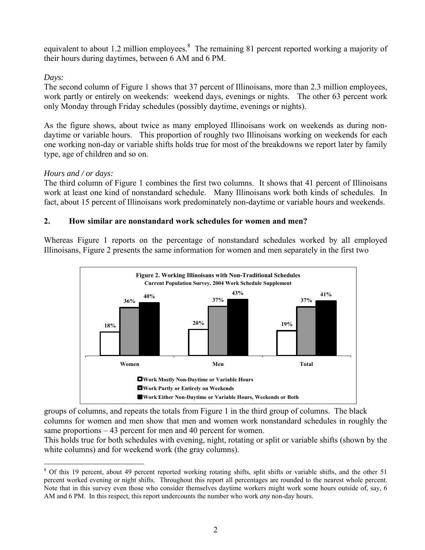equivalent to about 1.2 million employees.<sup>8</sup> The remaining 81 percent reported working a majority of their hours during daytimes, between 6 AM and 6 PM.

# *Days:*

The second column of Figure 1 shows that 37 percent of Illinoisans, more than 2.3 million employees, work partly or entirely on weekends: weekend days, evenings or nights. The other 63 percent work only Monday through Friday schedules (possibly daytime, evenings or nights).

As the figure shows, about twice as many employed Illinoisans work on weekends as during nondaytime or variable hours. This proportion of roughly two Illinoisans working on weekends for each one working non-day or variable shifts holds true for most of the breakdowns we report later by family type, age of children and so on.

# *Hours and / or days:*

The third column of Figure 1 combines the first two columns. It shows that 41 percent of Illinoisans work at least one kind of nonstandard schedule. Many Illinoisans work both kinds of schedules. In fact, about 15 percent of Illinoisans work predominately non-daytime or variable hours and weekends.

# **2. How similar are nonstandard work schedules for women and men?**

Whereas Figure 1 reports on the percentage of nonstandard schedules worked by all employed Illinoisans, Figure 2 presents the same information for women and men separately in the first two



groups of columns, and repeats the totals from Figure 1 in the third group of columns. The black columns for women and men show that men and women work nonstandard schedules in roughly the same proportions – 43 percent for men and 40 percent for women.

This holds true for both schedules with evening, night, rotating or split or variable shifts (shown by the white columns) and for weekend work (the gray columns).

<span id="page-11-0"></span><sup>&</sup>lt;u>.</u> <sup>8</sup> Of this 19 percent, about 49 percent reported working rotating shifts, split shifts or variable shifts, and the other 51 percent worked evening or night shifts. Throughout this report all percentages are rounded to the nearest whole percent. Note that in this survey even those who consider themselves daytime workers might work some hours outside of, say, 6 AM and 6 PM. In this respect, this report undercounts the number who work *any* non-day hours.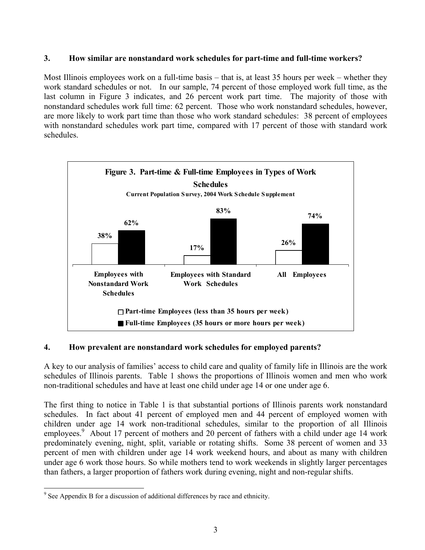# **3. How similar are nonstandard work schedules for part-time and full-time workers?**

Most Illinois employees work on a full-time basis – that is, at least 35 hours per week – whether they work standard schedules or not. In our sample, 74 percent of those employed work full time, as the last column in Figure 3 indicates, and 26 percent work part time. The majority of those with nonstandard schedules work full time: 62 percent. Those who work nonstandard schedules, however, are more likely to work part time than those who work standard schedules: 38 percent of employees with nonstandard schedules work part time, compared with 17 percent of those with standard work schedules.



# **4. How prevalent are nonstandard work schedules for employed parents?**

A key to our analysis of families' access to child care and quality of family life in Illinois are the work schedules of Illinois parents. Table 1 shows the proportions of Illinois women and men who work non-traditional schedules and have at least one child under age 14 or one under age 6.

The first thing to notice in Table 1 is that substantial portions of Illinois parents work nonstandard schedules. In fact about 41 percent of employed men and 44 percent of employed women with children under age 14 work non-traditional schedules, similar to the proportion of all Illinois employees.<sup>9</sup> About 17 percent of mothers and 20 percent of fathers with a child under age 14 work predominately evening, night, split, variable or rotating shifts. Some 38 percent of women and 33 percent of men with children under age 14 work weekend hours, and about as many with children under age 6 work those hours. So while mothers tend to work weekends in slightly larger percentages than fathers, a larger proportion of fathers work during evening, night and non-regular shifts.

<span id="page-12-0"></span><sup>&</sup>lt;u>.</u> <sup>9</sup> See Appendix B for a discussion of additional differences by race and ethnicity.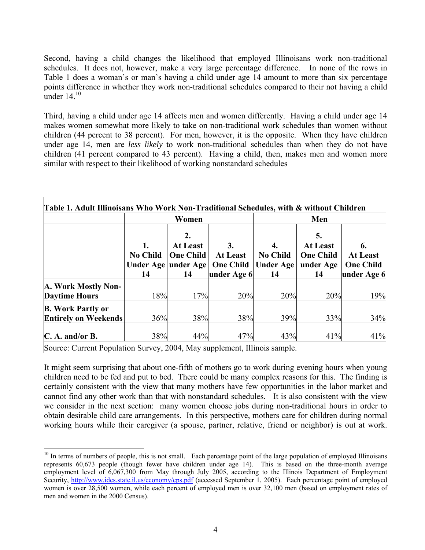Second, having a child changes the likelihood that employed Illinoisans work non-traditional schedules. It does not, however, make a very large percentage difference. In none of the rows in Table 1 does a woman's or man's having a child under age 14 amount to more than six percentage points difference in whether they work non-traditional schedules compared to their not having a child under  $14^{10}$ 

Third, having a child under age 14 affects men and women differently. Having a child under age 14 makes women somewhat more likely to take on non-traditional work schedules than women without children (44 percent to 38 percent). For men, however, it is the opposite. When they have children under age 14, men are *less likely* to work non-traditional schedules than when they do not have children (41 percent compared to 43 percent). Having a child, then, makes men and women more similar with respect to their likelihood of working nonstandard schedules

|                                                                                                |                             | Women                                                                  |                                                          |                                                 | Men                                                          |                                                          |  |  |  |
|------------------------------------------------------------------------------------------------|-----------------------------|------------------------------------------------------------------------|----------------------------------------------------------|-------------------------------------------------|--------------------------------------------------------------|----------------------------------------------------------|--|--|--|
|                                                                                                | 1.<br><b>No Child</b><br>14 | 2.<br><b>At Least</b><br><b>One Child</b><br>Under Age under Age<br>14 | 3.<br><b>At Least</b><br><b>One Child</b><br>under Age 6 | 4.<br><b>No Child</b><br><b>Under Age</b><br>14 | 5.<br><b>At Least</b><br><b>One Child</b><br>under Age<br>14 | 6.<br><b>At Least</b><br><b>One Child</b><br>under Age 6 |  |  |  |
| A. Work Mostly Non-<br><b>Daytime Hours</b>                                                    | 18%                         | 17%                                                                    | 20%                                                      | 20%                                             | 20%                                                          | 19%                                                      |  |  |  |
| <b>B.</b> Work Partly or<br><b>Entirely on Weekends</b>                                        | 36%                         | 38%                                                                    | 38%                                                      | 39%                                             | 33%                                                          | 34%                                                      |  |  |  |
| $C.$ A. and/or B.<br>Source: Current Population Survey, 2004, May supplement, Illinois sample. | 38%                         | 44%                                                                    | 47%                                                      | 43%                                             | 41%                                                          | 41%                                                      |  |  |  |

It might seem surprising that about one-fifth of mothers go to work during evening hours when young children need to be fed and put to bed. There could be many complex reasons for this. The finding is certainly consistent with the view that many mothers have few opportunities in the labor market and cannot find any other work than that with nonstandard schedules. It is also consistent with the view we consider in the next section: many women choose jobs during non-traditional hours in order to obtain desirable child care arrangements. In this perspective, mothers care for children during normal working hours while their caregiver (a spouse, partner, relative, friend or neighbor) is out at work.

<span id="page-13-0"></span><sup>1</sup>  $10$  In terms of numbers of people, this is not small. Each percentage point of the large population of employed Illinoisans represents 60,673 people (though fewer have children under age 14). This is based on the three-month average employment level of 6,067,300 from May through July 2005, according to the Illinois Department of Employment Security, <http://www.ides.state.il.us/economy/cps.pdf> (accessed September 1, 2005). Each percentage point of employed women is over 28,500 women, while each percent of employed men is over 32,100 men (based on employment rates of men and women in the 2000 Census).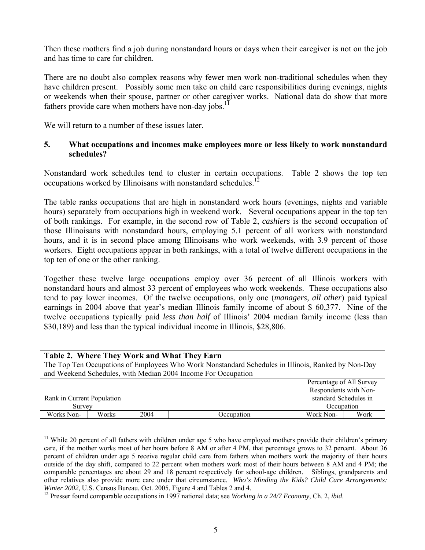Then these mothers find a job during nonstandard hours or days when their caregiver is not on the job and has time to care for children.

There are no doubt also complex reasons why fewer men work non-traditional schedules when they have children present. Possibly some men take on child care responsibilities during evenings, nights or weekends when their spouse, partner or other caregiver works. National data do show that more fathers provide care when mothers have non-day jobs.<sup>11</sup>

We will return to a number of these issues later.

1

## **5. What occupations and incomes make employees more or less likely to work nonstandard schedules?**

Nonstandard work schedules tend to cluster in certain occupations. Table 2 shows the top ten occupations worked by Illinoisans with nonstandard schedules.<sup>12</sup>

The table ranks occupations that are high in nonstandard work hours (evenings, nights and variable hours) separately from occupations high in weekend work. Several occupations appear in the top ten of both rankings. For example, in the second row of Table 2, *cashiers* is the second occupation of those Illinoisans with nonstandard hours, employing 5.1 percent of all workers with nonstandard hours, and it is in second place among Illinoisans who work weekends, with 3.9 percent of those workers. Eight occupations appear in both rankings, with a total of twelve different occupations in the top ten of one or the other ranking.

Together these twelve large occupations employ over 36 percent of all Illinois workers with nonstandard hours and almost 33 percent of employees who work weekends. These occupations also tend to pay lower incomes. Of the twelve occupations, only one (*managers, all other*) paid typical earnings in 2004 above that year's median Illinois family income of about \$ 60,377. Nine of the twelve occupations typically paid *less than half* of Illinois' 2004 median family income (less than \$30,189) and less than the typical individual income in Illinois, \$28,806.

| Table 2. Where They Work and What They Earn                   |                                                                                                    |      |            |                          |      |  |  |  |  |
|---------------------------------------------------------------|----------------------------------------------------------------------------------------------------|------|------------|--------------------------|------|--|--|--|--|
|                                                               | The Top Ten Occupations of Employees Who Work Nonstandard Schedules in Illinois, Ranked by Non-Day |      |            |                          |      |  |  |  |  |
| and Weekend Schedules, with Median 2004 Income For Occupation |                                                                                                    |      |            |                          |      |  |  |  |  |
|                                                               |                                                                                                    |      |            | Percentage of All Survey |      |  |  |  |  |
|                                                               |                                                                                                    |      |            | Respondents with Non-    |      |  |  |  |  |
| Rank in Current Population                                    |                                                                                                    |      |            | standard Schedules in    |      |  |  |  |  |
| Survey                                                        |                                                                                                    |      |            | Occupation               |      |  |  |  |  |
| Works Non-                                                    | Works                                                                                              | 2004 | Occupation | Work Non-                | Work |  |  |  |  |

<span id="page-14-0"></span><sup>&</sup>lt;sup>11</sup> While 20 percent of all fathers with children under age 5 who have employed mothers provide their children's primary care, if the mother works most of her hours before 8 AM or after 4 PM, that percentage grows to 32 percent. About 36 percent of children under age 5 receive regular child care from fathers when mothers work the majority of their hours outside of the day shift, compared to 22 percent when mothers work most of their hours between 8 AM and 4 PM; the comparable percentages are about 29 and 18 percent respectively for school-age children. Siblings, grandparents and other relatives also provide more care under that circumstance. *Who's Minding the Kids? Child Care Arrangements: Winter 2002*, U.S. Census Bureau, Oct. 2005, Figure 4 and Tables 2 and 4. <sup>12</sup> Presser found comparable occupations in 1997 national data; see *Working in a 24/7 Economy*, Ch. 2, *ibid.* 

<span id="page-14-1"></span>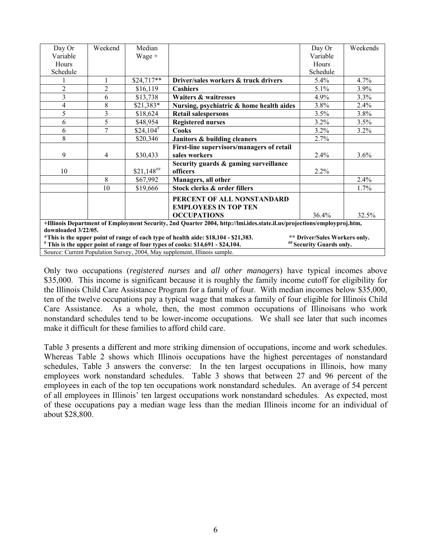| Day Or              | Weekend        | Median         |                                                                                                                        | Day Or                        | Weekends |
|---------------------|----------------|----------------|------------------------------------------------------------------------------------------------------------------------|-------------------------------|----------|
| Variable            |                | $Wage +$       |                                                                                                                        | Variable                      |          |
| Hours               |                |                |                                                                                                                        | Hours                         |          |
| Schedule            |                |                |                                                                                                                        | Schedule                      |          |
|                     | $\mathbf{1}$   | $$24,717**$    | Driver/sales workers & truck drivers                                                                                   | $5.4\%$                       | 4.7%     |
| $\overline{2}$      | $\overline{2}$ | \$16,119       | <b>Cashiers</b>                                                                                                        | 5.1%                          | 3.9%     |
| 3                   | 6              | \$13,738       | Waiters & waitresses                                                                                                   | 4.9%                          | 3.3%     |
| 4                   | 8              | $$21,383*$     | Nursing, psychiatric & home health aides                                                                               | 3.8%                          | 2.4%     |
| 5                   | 3              | \$18,624       | <b>Retail salespersons</b>                                                                                             | 3.5%                          | 3.8%     |
| 6                   | 5              | \$48,954       | <b>Registered nurses</b>                                                                                               | 3.2%                          | 3.5%     |
| 6                   | 7              | $$24,104^{\#}$ | Cooks                                                                                                                  | 3.2%                          | 3.2%     |
| 8                   |                | \$20,346       | Janitors & building cleaners                                                                                           | 2.7%                          |          |
|                     |                |                | First-line supervisors/managers of retail                                                                              |                               |          |
| 9                   | 4              | \$30,433       | sales workers                                                                                                          | 2.4%                          | 3.6%     |
|                     |                |                | Security guards & gaming surveillance                                                                                  |                               |          |
| 10                  |                | $$21,148$ ***  | officers                                                                                                               | 2.2%                          |          |
|                     | 8              | \$67,992       | Managers, all other                                                                                                    |                               | 2.4%     |
|                     | 10             | \$19,666       | Stock clerks & order fillers                                                                                           |                               | 1.7%     |
|                     |                |                | PERCENT OF ALL NONSTANDARD                                                                                             |                               |          |
|                     |                |                | <b>EMPLOYEES IN TOP TEN</b>                                                                                            |                               |          |
|                     |                |                | <b>OCCUPATIONS</b>                                                                                                     | 36.4%                         | 32.5%    |
|                     |                |                | +Illinois Department of Employment Security, 2nd Quarter 2004, http://lmi.ides.state.il.us/projections/employproj.htm, |                               |          |
| downloaded 3/22/05. |                |                |                                                                                                                        |                               |          |
|                     |                |                | *This is the upper point of range of each type of health aide: \$18,104 - \$21,383.                                    | ** Driver/Sales Workers only. |          |
|                     |                |                | # This is the upper point of range of four types of cooks: \$14,691 - \$24,104.                                        | ## Security Guards only.      |          |
|                     |                |                | Source: Current Population Survey, 2004, May supplement, Illinois sample.                                              |                               |          |

Only two occupations (*registered nurses* and *all other managers*) have typical incomes above \$35,000. This income is significant because it is roughly the family income cutoff for eligibility for the Illinois Child Care Assistance Program for a family of four. With median incomes below \$35,000, ten of the twelve occupations pay a typical wage that makes a family of four eligible for Illinois Child Care Assistance. As a whole, then, the most common occupations of Illinoisans who work nonstandard schedules tend to be lower-income occupations. We shall see later that such incomes make it difficult for these families to afford child care.

Table 3 presents a different and more striking dimension of occupations, income and work schedules. Whereas Table 2 shows which Illinois occupations have the highest percentages of nonstandard schedules, Table 3 answers the converse: In the ten largest occupations in Illinois, how many employees work nonstandard schedules. Table 3 shows that between 27 and 96 percent of the employees in each of the top ten occupations work nonstandard schedules. An average of 54 percent of all employees in Illinois' ten largest occupations work nonstandard schedules. As expected, most of these occupations pay a median wage less than the median Illinois income for an individual of about \$28,800.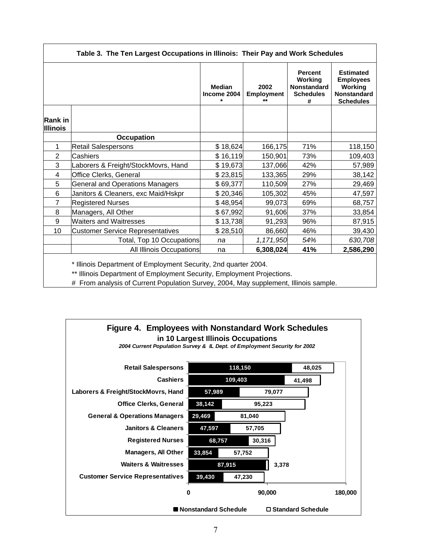| Table 3. The Ten Largest Occupations in Illinois: Their Pay and Work Schedules |                                         |                                         |                                   |                                                                          |                                                                                           |  |  |  |  |  |  |
|--------------------------------------------------------------------------------|-----------------------------------------|-----------------------------------------|-----------------------------------|--------------------------------------------------------------------------|-------------------------------------------------------------------------------------------|--|--|--|--|--|--|
|                                                                                |                                         | <b>Median</b><br>Income 2004<br>$\star$ | 2002<br><b>Employment</b><br>$**$ | <b>Percent</b><br>Working<br><b>Nonstandard</b><br><b>Schedules</b><br># | <b>Estimated</b><br><b>Employees</b><br>Working<br><b>Nonstandard</b><br><b>Schedules</b> |  |  |  |  |  |  |
| <b>Rank in</b><br><b>Illinois</b>                                              |                                         |                                         |                                   |                                                                          |                                                                                           |  |  |  |  |  |  |
|                                                                                | <b>Occupation</b>                       |                                         |                                   |                                                                          |                                                                                           |  |  |  |  |  |  |
| 1                                                                              | Retail Salespersons                     | \$18,624                                | 166,175                           | 71%                                                                      | 118,150                                                                                   |  |  |  |  |  |  |
| 2                                                                              | Cashiers                                | \$16,119                                | 150,901                           | 73%                                                                      | 109,403                                                                                   |  |  |  |  |  |  |
| 3                                                                              | Laborers & Freight/StockMovrs, Hand     | \$19,673                                | 137,066                           | 42%                                                                      | 57,989                                                                                    |  |  |  |  |  |  |
| 4                                                                              | <b>Office Clerks, General</b>           | \$23,815                                | 133,365                           | 29%                                                                      | 38,142                                                                                    |  |  |  |  |  |  |
| 5                                                                              | <b>General and Operations Managers</b>  | \$69,377                                | 110,509                           | 27%                                                                      | 29,469                                                                                    |  |  |  |  |  |  |
| 6                                                                              | Janitors & Cleaners, exc Maid/Hskpr     | \$20,346                                | 105,302                           | 45%                                                                      | 47,597                                                                                    |  |  |  |  |  |  |
| $\overline{7}$                                                                 | <b>Registered Nurses</b>                | \$48,954                                | 99,073                            | 69%                                                                      | 68,757                                                                                    |  |  |  |  |  |  |
| 8                                                                              | Managers, All Other                     | \$67,992                                | 91,606                            | 37%                                                                      | 33,854                                                                                    |  |  |  |  |  |  |
| 9                                                                              | <b>Waiters and Waitresses</b>           | \$13,738                                | 91,293                            | 96%                                                                      | 87,915                                                                                    |  |  |  |  |  |  |
| 10                                                                             | <b>Customer Service Representatives</b> | \$28,510                                | 86,660                            | 46%                                                                      | 39,430                                                                                    |  |  |  |  |  |  |
|                                                                                | Total, Top 10 Occupations               | na                                      | 1,171,950                         | 54%                                                                      | 630,708                                                                                   |  |  |  |  |  |  |
|                                                                                | All Illinois Occupations                | na                                      | 6,308,024                         | 41%                                                                      | 2,586,290                                                                                 |  |  |  |  |  |  |

\* Illinois Department of Employment Security, 2nd quarter 2004.

\*\* Illinois Department of Employment Security, Employment Projections.

# From analysis of Current Population Survey, 2004, May supplement, Illinois sample.

# **Figure 4. Employees with Nonstandard Work Schedules in 10 Largest Illinois Occupations**

*2004 Current Population Survey & IL Dept. of Employment Security for 2002*

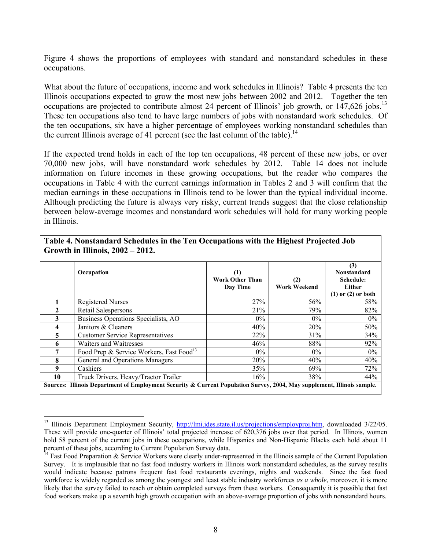Figure 4 shows the proportions of employees with standard and nonstandard schedules in these occupations.

What about the future of occupations, income and work schedules in Illinois? Table 4 presents the ten Illinois occupations expected to grow the most new jobs between 2002 and 2012. Together the ten occupations are projected to contribute almost 24 percent of Illinois' job growth, or 147,626 jobs.<sup>13</sup> These ten occupations also tend to have large numbers of jobs with nonstandard work schedules. Of the ten occupations, six have a higher percentage of employees working nonstandard schedules than the current Illinois average of 41 percent (see the last column of the table).<sup>14</sup>

If the expected trend holds in each of the top ten occupations, 48 percent of these new jobs, or over 70,000 new jobs, will have nonstandard work schedules by 2012. Table 14 does not include information on future incomes in these growing occupations, but the reader who compares the occupations in Table 4 with the current earnings information in Tables 2 and 3 will confirm that the median earnings in these occupations in Illinois tend to be lower than the typical individual income. Although predicting the future is always very risky, current trends suggest that the close relationship between below-average incomes and nonstandard work schedules will hold for many working people in Illinois.

|    | Occupation                                                                                                              | <b>Work Other Than</b><br>Day Time | (2)<br><b>Work Weekend</b> | (3)<br><b>Nonstandard</b><br>Schedule:<br>Either<br>$(1)$ or $(2)$ or both |
|----|-------------------------------------------------------------------------------------------------------------------------|------------------------------------|----------------------------|----------------------------------------------------------------------------|
|    | <b>Registered Nurses</b>                                                                                                | 27%                                | 56%                        | 58%                                                                        |
|    | Retail Salespersons                                                                                                     | 21%                                | 79%                        | 82%                                                                        |
| 3  | Business Operations Specialists, AO                                                                                     | $0\%$                              | $0\%$                      | $0\%$                                                                      |
|    | Janitors & Cleaners                                                                                                     | 40%                                | 20%                        | 50%                                                                        |
| 5. | <b>Customer Service Representatives</b>                                                                                 | 22%                                | 31%                        | 34%                                                                        |
| 6  | Waiters and Waitresses                                                                                                  | 46%                                | 88%                        | 92%                                                                        |
|    | Food Prep & Service Workers, Fast Food <sup>13</sup>                                                                    | $0\%$                              | $0\%$                      | $0\%$                                                                      |
| 8  | General and Operations Managers                                                                                         | 20%                                | 40%                        | 40%                                                                        |
| 9  | Cashiers                                                                                                                | 35%                                | 69%                        | 72%                                                                        |
| 10 | Truck Drivers, Heavy/Tractor Trailer                                                                                    | 16%                                | 38%                        | 44%                                                                        |
|    | Sources: Illinois Department of Employment Security & Current Population Survey, 2004, May supplement, Illinois sample. |                                    |                            |                                                                            |

#### **Table 4. Nonstandard Schedules in the Ten Occupations with the Highest Projected Job Growth in Illinois, 2002 – 2012.**

1

<span id="page-17-0"></span><sup>&</sup>lt;sup>13</sup> Illinois Department Employment Security, [http://lmi.ides.state.il.us/projections/employproj.htm,](http://lmi.ides.state.il.us/projections/employproj.htm) downloaded 3/22/05. These will provide one-quarter of Illinois' total projected increase of 620,376 jobs over that period. In Illinois, women hold 58 percent of the current jobs in these occupations, while Hispanics and Non-Hispanic Blacks each hold about 11 percent of these jobs, according to Current Population Survey data.<br><sup>14</sup> Fast Food Preparation & Service Workers were clearly under-represented in the Illinois sample of the Current Population

<span id="page-17-1"></span>Survey. It is implausible that no fast food industry workers in Illinois work nonstandard schedules, as the survey results would indicate because patrons frequent fast food restaurants evenings, nights and weekends. Since the fast food workforce is widely regarded as among the youngest and least stable industry workforces *as a whole*, moreover, it is more likely that the survey failed to reach or obtain completed surveys from these workers. Consequently it is possible that fast food workers make up a seventh high growth occupation with an above-average proportion of jobs with nonstandard hours.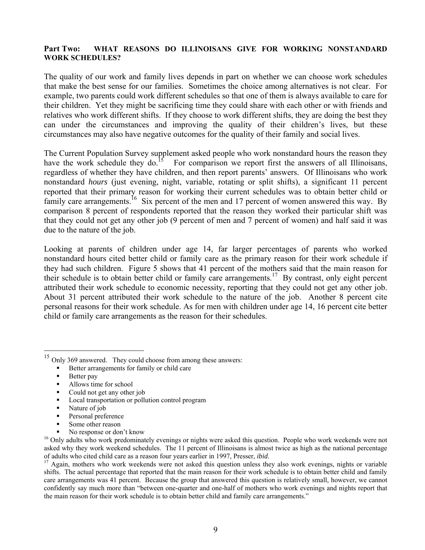#### **Part Two: WHAT REASONS DO ILLINOISANS GIVE FOR WORKING NONSTANDARD WORK SCHEDULES?**

The quality of our work and family lives depends in part on whether we can choose work schedules that make the best sense for our families. Sometimes the choice among alternatives is not clear. For example, two parents could work different schedules so that one of them is always available to care for their children. Yet they might be sacrificing time they could share with each other or with friends and relatives who work different shifts. If they choose to work different shifts, they are doing the best they can under the circumstances and improving the quality of their children's lives, but these circumstances may also have negative outcomes for the quality of their family and social lives.

The Current Population Survey supplement asked people who work nonstandard hours the reason they have the work schedule they do.<sup>15</sup> For comparison we report first the answers of all Illinoisans, regardless of whether they have children, and then report parents' answers. Of Illinoisans who work nonstandard *hours* (just evening, night, variable, rotating or split shifts), a significant 11 percent reported that their primary reason for working their current schedules was to obtain better child or family care arrangements.<sup>16</sup> Six percent of the men and 17 percent of women answered this way. By comparison 8 percent of respondents reported that the reason they worked their particular shift was that they could not get any other job (9 percent of men and 7 percent of women) and half said it was due to the nature of the job.

Looking at parents of children under age 14, far larger percentages of parents who worked nonstandard hours cited better child or family care as the primary reason for their work schedule if they had such children. Figure 5 shows that 41 percent of the mothers said that the main reason for their schedule is to obtain better child or family care arrangements.<sup>17</sup> By contrast, only eight percent attributed their work schedule to economic necessity, reporting that they could not get any other job. About 31 percent attributed their work schedule to the nature of the job. Another 8 percent cite personal reasons for their work schedule. As for men with children under age 14, 16 percent cite better child or family care arrangements as the reason for their schedules.

- Better arrangements for family or child care
- Better pay

1

- Allows time for school
- Could not get any other job
- **Local transportation or pollution control program**
- Nature of job
- **Personal preference**
- Some other reason
- <span id="page-18-1"></span>

<sup>16</sup> Only adults who work predominately evenings or nights were asked this question. People who work weekends were not <sup>16</sup> Only adults who work predominately evenings or nights were asked this question. People who work we asked why they work weekend schedules. The 11 percent of Illinoisans is almost twice as high as the national percentage of adults who cited child care as a reason four years earlier in 1997, Presser, *ibid*. 17 Again, mothers who work weekends were not asked this question unless they also work evenings, nights or variable

<span id="page-18-2"></span>shifts. The actual percentage that reported that the main reason for their work schedule is to obtain better child and family care arrangements was 41 percent. Because the group that answered this question is relatively small, however, we cannot confidently say much more than "between one-quarter and one-half of mothers who work evenings and nights report that the main reason for their work schedule is to obtain better child and family care arrangements."

<span id="page-18-0"></span><sup>&</sup>lt;sup>15</sup> Only 369 answered. They could choose from among these answers: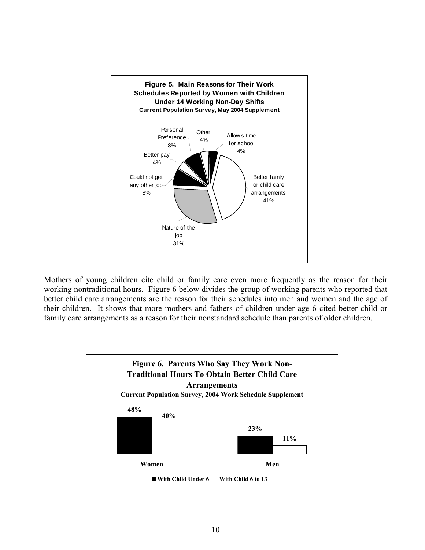

Mothers of young children cite child or family care even more frequently as the reason for their working nontraditional hours. Figure 6 below divides the group of working parents who reported that better child care arrangements are the reason for their schedules into men and women and the age of their children. It shows that more mothers and fathers of children under age 6 cited better child or family care arrangements as a reason for their nonstandard schedule than parents of older children.

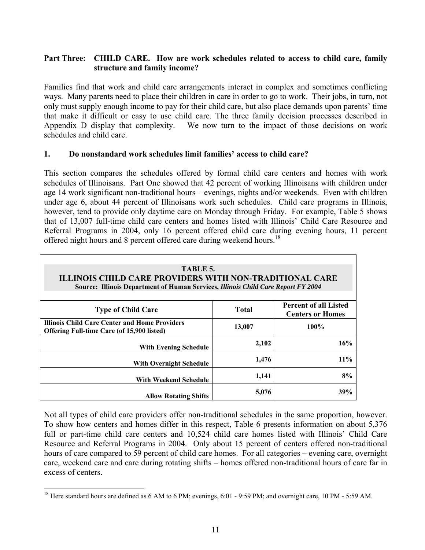# **Part Three: CHILD CARE. How are work schedules related to access to child care, family structure and family income?**

Families find that work and child care arrangements interact in complex and sometimes conflicting ways. Many parents need to place their children in care in order to go to work. Their jobs, in turn, not only must supply enough income to pay for their child care, but also place demands upon parents' time that make it difficult or easy to use child care. The three family decision processes described in Appendix D display that complexity. We now turn to the impact of those decisions on work schedules and child care.

## **1. Do nonstandard work schedules limit families' access to child care?**

This section compares the schedules offered by formal child care centers and homes with work schedules of Illinoisans. Part One showed that 42 percent of working Illinoisans with children under age 14 work significant non-traditional hours – evenings, nights and/or weekends. Even with children under age 6, about 44 percent of Illinoisans work such schedules. Child care programs in Illinois, however, tend to provide only daytime care on Monday through Friday. For example, Table 5 shows that of 13,007 full-time child care centers and homes listed with Illinois' Child Care Resource and Referral Programs in 2004, only 16 percent offered child care during evening hours, 11 percent offered night hours and 8 percent offered care during weekend hours.<sup>18</sup>

| TABLE 5.<br><b>ILLINOIS CHILD CARE PROVIDERS WITH NON-TRADITIONAL CARE</b><br>Source: Illinois Department of Human Services, Illinois Child Care Report FY 2004 |                                                         |         |  |  |  |  |  |  |  |
|-----------------------------------------------------------------------------------------------------------------------------------------------------------------|---------------------------------------------------------|---------|--|--|--|--|--|--|--|
| <b>Type of Child Care</b>                                                                                                                                       | <b>Percent of all Listed</b><br><b>Centers or Homes</b> |         |  |  |  |  |  |  |  |
| <b>Illinois Child Care Center and Home Providers</b><br><b>Offering Full-time Care (of 15,900 listed)</b>                                                       | 13,007                                                  | $100\%$ |  |  |  |  |  |  |  |
| <b>With Evening Schedule</b>                                                                                                                                    | 2,102                                                   | 16%     |  |  |  |  |  |  |  |
| <b>With Overnight Schedule</b>                                                                                                                                  | 1,476                                                   | 11%     |  |  |  |  |  |  |  |
| With Weekend Schedule                                                                                                                                           | 1,141                                                   | 8%      |  |  |  |  |  |  |  |
| <b>Allow Rotating Shifts</b>                                                                                                                                    | 5,076                                                   | 39%     |  |  |  |  |  |  |  |

Not all types of child care providers offer non-traditional schedules in the same proportion, however. To show how centers and homes differ in this respect, Table 6 presents information on about 5,376 full or part-time child care centers and 10,524 child care homes listed with Illinois' Child Care Resource and Referral Programs in 2004. Only about 15 percent of centers offered non-traditional hours of care compared to 59 percent of child care homes. For all categories – evening care, overnight care, weekend care and care during rotating shifts – homes offered non-traditional hours of care far in excess of centers.

<u>.</u>

<span id="page-20-0"></span> $^{18}$  Here standard hours are defined as 6 AM to 6 PM; evenings, 6:01 - 9:59 PM; and overnight care, 10 PM - 5:59 AM.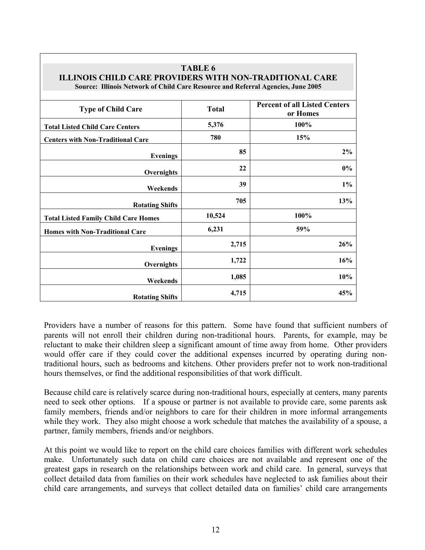| <b>ILLINOIS CHILD CARE PROVIDERS WITH NON-TRADITIONAL CARE</b><br>Source: Illinois Network of Child Care Resource and Referral Agencies, June 2005 |              |                                                  |  |  |
|----------------------------------------------------------------------------------------------------------------------------------------------------|--------------|--------------------------------------------------|--|--|
| <b>Type of Child Care</b>                                                                                                                          | <b>Total</b> | <b>Percent of all Listed Centers</b><br>or Homes |  |  |
| <b>Total Listed Child Care Centers</b>                                                                                                             | 5,376        | 100%                                             |  |  |
| <b>Centers with Non-Traditional Care</b>                                                                                                           | 780          | 15%                                              |  |  |
| <b>Evenings</b>                                                                                                                                    | 85           | 2%                                               |  |  |
| Overnights                                                                                                                                         | 22           | $0\%$                                            |  |  |
| Weekends                                                                                                                                           | 39           | $1\%$                                            |  |  |
| <b>Rotating Shifts</b>                                                                                                                             | 705          | 13%                                              |  |  |
| <b>Total Listed Family Child Care Homes</b>                                                                                                        | 10,524       | 100%                                             |  |  |
| <b>Homes with Non-Traditional Care</b>                                                                                                             | 6,231        | 59%                                              |  |  |
| <b>Evenings</b>                                                                                                                                    | 2,715        | 26%                                              |  |  |
| Overnights                                                                                                                                         | 1,722        | 16%                                              |  |  |
| Weekends                                                                                                                                           | 1,085        | 10%                                              |  |  |
| <b>Rotating Shifts</b>                                                                                                                             | 4,715        | 45%                                              |  |  |

**TABLE 6** 

Providers have a number of reasons for this pattern. Some have found that sufficient numbers of parents will not enroll their children during non-traditional hours. Parents, for example, may be reluctant to make their children sleep a significant amount of time away from home. Other providers would offer care if they could cover the additional expenses incurred by operating during nontraditional hours, such as bedrooms and kitchens. Other providers prefer not to work non-traditional hours themselves, or find the additional responsibilities of that work difficult.

Because child care is relatively scarce during non-traditional hours, especially at centers, many parents need to seek other options. If a spouse or partner is not available to provide care, some parents ask family members, friends and/or neighbors to care for their children in more informal arrangements while they work. They also might choose a work schedule that matches the availability of a spouse, a partner, family members, friends and/or neighbors.

At this point we would like to report on the child care choices families with different work schedules make. Unfortunately such data on child care choices are not available and represent one of the greatest gaps in research on the relationships between work and child care. In general, surveys that collect detailed data from families on their work schedules have neglected to ask families about their child care arrangements, and surveys that collect detailed data on families' child care arrangements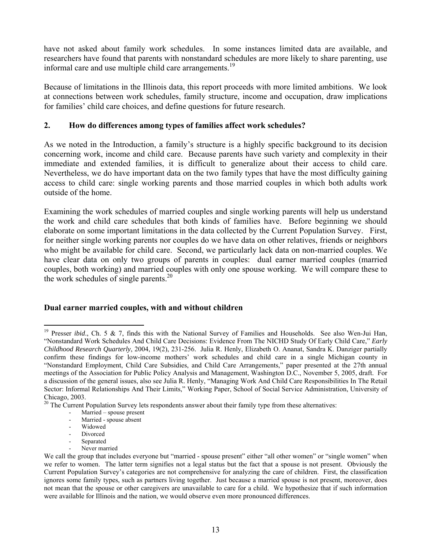have not asked about family work schedules. In some instances limited data are available, and researchers have found that parents with nonstandard schedules are more likely to share parenting, use informal care and use multiple child care arrangements.<sup>19</sup>

Because of limitations in the Illinois data, this report proceeds with more limited ambitions. We look at connections between work schedules, family structure, income and occupation, draw implications for families' child care choices, and define questions for future research.

# **2. How do differences among types of families affect work schedules?**

As we noted in the Introduction, a family's structure is a highly specific background to its decision concerning work, income and child care. Because parents have such variety and complexity in their immediate and extended families, it is difficult to generalize about their access to child care. Nevertheless, we do have important data on the two family types that have the most difficulty gaining access to child care: single working parents and those married couples in which both adults work outside of the home.

Examining the work schedules of married couples and single working parents will help us understand the work and child care schedules that both kinds of families have. Before beginning we should elaborate on some important limitations in the data collected by the Current Population Survey. First, for neither single working parents nor couples do we have data on other relatives, friends or neighbors who might be available for child care. Second, we particularly lack data on non-married couples. We have clear data on only two groups of parents in couples: dual earner married couples (married couples, both working) and married couples with only one spouse working. We will compare these to the work schedules of single parents.<sup>20</sup>

# **Dual earner married couples, with and without children**

Never married

<span id="page-22-0"></span><sup>1</sup> <sup>19</sup> Presser *ibid.*, Ch. 5 & 7, finds this with the National Survey of Families and Households. See also Wen-Jui Han, "Nonstandard Work Schedules And Child Care Decisions: Evidence From The NICHD Study Of Early Child Care," *Early Childhood Research Quarterly*, 2004, 19(2), 231-256. Julia R. Henly, Elizabeth O. Ananat, Sandra K. Danziger partially confirm these findings for low-income mothers' work schedules and child care in a single Michigan county in "Nonstandard Employment, Child Care Subsidies, and Child Care Arrangements," paper presented at the 27th annual meetings of the Association for Public Policy Analysis and Management, Washington D.C., November 5, 2005, draft. For a discussion of the general issues, also see Julia R. Henly, "Managing Work And Child Care Responsibilities In The Retail Sector: Informal Relationships And Their Limits," Working Paper, School of Social Service Administration, University of Chicago, 2003.

<span id="page-22-1"></span> $20$  The Current Population Survey lets respondents answer about their family type from these alternatives:

Married – spouse present

Married - spouse absent

<sup>-</sup> Widowed

<sup>-</sup> Divorced - Separated

We call the group that includes everyone but "married - spouse present" either "all other women" or "single women" when we refer to women. The latter term signifies not a legal status but the fact that a spouse is not present. Obviously the Current Population Survey's categories are not comprehensive for analyzing the care of children. First, the classification ignores some family types, such as partners living together. Just because a married spouse is not present, moreover, does not mean that the spouse or other caregivers are unavailable to care for a child. We hypothesize that if such information were available for Illinois and the nation, we would observe even more pronounced differences.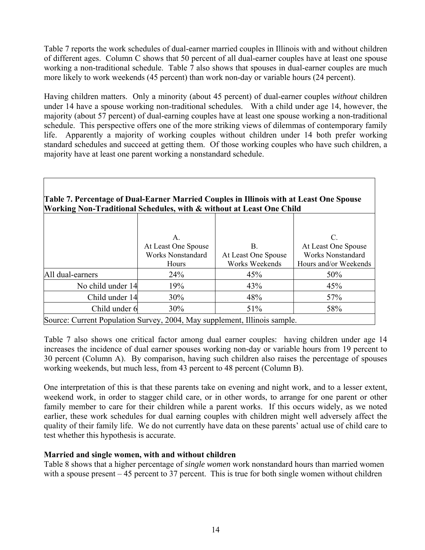Table 7 reports the work schedules of dual-earner married couples in Illinois with and without children of different ages. Column C shows that 50 percent of all dual-earner couples have at least one spouse working a non-traditional schedule. Table 7 also shows that spouses in dual-earner couples are much more likely to work weekends (45 percent) than work non-day or variable hours (24 percent).

Having children matters. Only a minority (about 45 percent) of dual-earner couples *without* children under 14 have a spouse working non-traditional schedules. With a child under age 14, however, the majority (about 57 percent) of dual-earning couples have at least one spouse working a non-traditional schedule. This perspective offers one of the more striking views of dilemmas of contemporary family life. Apparently a majority of working couples without children under 14 both prefer working standard schedules and succeed at getting them. Of those working couples who have such children, a majority have at least one parent working a nonstandard schedule.

|                                                                           |                                   | <u>WOLKING I WII-TTAGHUUHAI DUNUGUUUS, WHII W WHIIDHU AU LIGISU ONU UMMI</u> |                                                   |  |  |  |  |  |  |  |  |  |
|---------------------------------------------------------------------------|-----------------------------------|------------------------------------------------------------------------------|---------------------------------------------------|--|--|--|--|--|--|--|--|--|
|                                                                           | A.<br>At Least One Spouse         | B.                                                                           | C.<br>At Least One Spouse                         |  |  |  |  |  |  |  |  |  |
|                                                                           | <b>Works Nonstandard</b><br>Hours | At Least One Spouse<br>Works Weekends                                        | <b>Works Nonstandard</b><br>Hours and/or Weekends |  |  |  |  |  |  |  |  |  |
| All dual-earners                                                          | 24%                               | 45%                                                                          | 50%                                               |  |  |  |  |  |  |  |  |  |
| No child under 14                                                         | 19%                               | 43%                                                                          | 45%                                               |  |  |  |  |  |  |  |  |  |
| Child under 14                                                            | $30\%$                            | 48%                                                                          | 57%                                               |  |  |  |  |  |  |  |  |  |
| Child under 6                                                             | $30\%$                            | 51%                                                                          | 58%                                               |  |  |  |  |  |  |  |  |  |
| Source: Current Population Survey, 2004, May supplement, Illinois sample. |                                   |                                                                              |                                                   |  |  |  |  |  |  |  |  |  |

## **Table 7. Percentage of Dual-Earner Married Couples in Illinois with at Least One Spouse Working Non-Traditional Schedules, with & without at Least One Child**

Table 7 also shows one critical factor among dual earner couples: having children under age 14 increases the incidence of dual earner spouses working non-day or variable hours from 19 percent to 30 percent (Column A). By comparison, having such children also raises the percentage of spouses working weekends, but much less, from 43 percent to 48 percent (Column B).

One interpretation of this is that these parents take on evening and night work, and to a lesser extent, weekend work, in order to stagger child care, or in other words, to arrange for one parent or other family member to care for their children while a parent works. If this occurs widely, as we noted earlier, these work schedules for dual earning couples with children might well adversely affect the quality of their family life. We do not currently have data on these parents' actual use of child care to test whether this hypothesis is accurate.

# **Married and single women, with and without children**

Table 8 shows that a higher percentage of *single women* work nonstandard hours than married women with a spouse present – 45 percent to 37 percent. This is true for both single women without children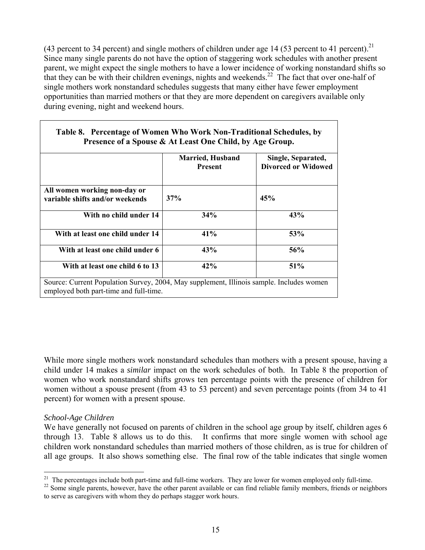(43 percent to 34 percent) and single mothers of children under age 14 (53 percent to 41 percent).<sup>21</sup> Since many single parents do not have the option of staggering work schedules with another present parent, we might expect the single mothers to have a lower incidence of working nonstandard shifts so that they can be with their children evenings, nights and weekends.<sup>22</sup> The fact that over one-half of single mothers work nonstandard schedules suggests that many either have fewer employment opportunities than married mothers or that they are more dependent on caregivers available only during evening, night and weekend hours.

| Table 8. Percentage of Women Who Work Non-Traditional Schedules, by<br>Presence of a Spouse & At Least One Child, by Age Group. |                                           |                                                  |  |  |  |  |  |  |
|---------------------------------------------------------------------------------------------------------------------------------|-------------------------------------------|--------------------------------------------------|--|--|--|--|--|--|
|                                                                                                                                 | <b>Married, Husband</b><br><b>Present</b> | Single, Separated,<br><b>Divorced or Widowed</b> |  |  |  |  |  |  |
| All women working non-day or<br>variable shifts and/or weekends                                                                 | 37%                                       | 45%                                              |  |  |  |  |  |  |
| With no child under 14                                                                                                          | 34%                                       | 43%                                              |  |  |  |  |  |  |
| With at least one child under 14                                                                                                | 41%                                       | 53%                                              |  |  |  |  |  |  |

With at least one child under 6 43% 43% 56%

With at least one child 6 to 13  $\vert$  42%  $\vert$  51%

Source: Current Population Survey, 2004, May supplement, Illinois sample. Includes women

# **Table 8. Percentage of Women Who Work Non-Traditional Schedules, by**

While more single mothers work nonstandard schedules than mothers with a present spouse, having a child under 14 makes a *similar* impact on the work schedules of both. In Table 8 the proportion of women who work nonstandard shifts grows ten percentage points with the presence of children for women without a spouse present (from 43 to 53 percent) and seven percentage points (from 34 to 41 percent) for women with a present spouse.

# *School-Age Children*

employed both part-time and full-time.

We have generally not focused on parents of children in the school age group by itself, children ages 6 through 13. Table 8 allows us to do this. It confirms that more single women with school age children work nonstandard schedules than married mothers of those children, as is true for children of all age groups. It also shows something else. The final row of the table indicates that single women

<span id="page-24-0"></span><sup>&</sup>lt;sup>21</sup> The percentages include both part-time and full-time workers. They are lower for women employed only full-time.

<span id="page-24-1"></span><sup>&</sup>lt;sup>22</sup> Some single parents, however, have the other parent available or can find reliable family members, friends or neighbors to serve as caregivers with whom they do perhaps stagger work hours.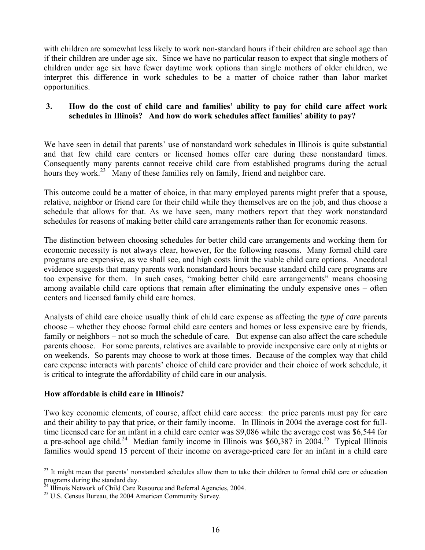with children are somewhat less likely to work non-standard hours if their children are school age than if their children are under age six. Since we have no particular reason to expect that single mothers of children under age six have fewer daytime work options than single mothers of older children, we interpret this difference in work schedules to be a matter of choice rather than labor market opportunities.

# **3. How do the cost of child care and families' ability to pay for child care affect work schedules in Illinois? And how do work schedules affect families' ability to pay?**

We have seen in detail that parents' use of nonstandard work schedules in Illinois is quite substantial and that few child care centers or licensed homes offer care during these nonstandard times. Consequently many parents cannot receive child care from established programs during the actual hours they work.<sup>23</sup> Many of these families rely on family, friend and neighbor care.

This outcome could be a matter of choice, in that many employed parents might prefer that a spouse, relative, neighbor or friend care for their child while they themselves are on the job, and thus choose a schedule that allows for that. As we have seen, many mothers report that they work nonstandard schedules for reasons of making better child care arrangements rather than for economic reasons.

The distinction between choosing schedules for better child care arrangements and working them for economic necessity is not always clear, however, for the following reasons. Many formal child care programs are expensive, as we shall see, and high costs limit the viable child care options. Anecdotal evidence suggests that many parents work nonstandard hours because standard child care programs are too expensive for them. In such cases, "making better child care arrangements" means choosing among available child care options that remain after eliminating the unduly expensive ones – often centers and licensed family child care homes.

Analysts of child care choice usually think of child care expense as affecting the *type of care* parents choose – whether they choose formal child care centers and homes or less expensive care by friends, family or neighbors – not so much the schedule of care. But expense can also affect the care schedule parents choose. For some parents, relatives are available to provide inexpensive care only at nights or on weekends. So parents may choose to work at those times. Because of the complex way that child care expense interacts with parents' choice of child care provider and their choice of work schedule, it is critical to integrate the affordability of child care in our analysis.

# **How affordable is child care in Illinois?**

<u>.</u>

Two key economic elements, of course, affect child care access: the price parents must pay for care and their ability to pay that price, or their family income. In Illinois in 2004 the average cost for fulltime licensed care for an infant in a child care center was \$9,086 while the average cost was \$6,544 for a pre-school age child.<sup>24</sup> Median family income in Illinois was \$60,387 in 2004.<sup>25</sup> Typical Illinois families would spend 15 percent of their income on average-priced care for an infant in a child care

<span id="page-25-0"></span> $23$  It might mean that parents' nonstandard schedules allow them to take their children to formal child care or education programs during the standard day.<br><sup>24</sup> Illinois Network of Child Care Resource and Referral Agencies, 2004.<br><sup>25</sup> U.S. Census Bureau, the 2004 American Community Survey.

<span id="page-25-1"></span>

<span id="page-25-2"></span>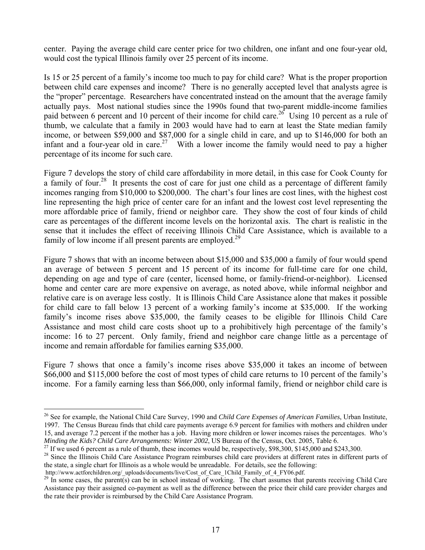center. Paying the average child care center price for two children, one infant and one four-year old, would cost the typical Illinois family over 25 percent of its income.

Is 15 or 25 percent of a family's income too much to pay for child care? What is the proper proportion between child care expenses and income? There is no generally accepted level that analysts agree is the "proper" percentage. Researchers have concentrated instead on the amount that the average family actually pays. Most national studies since the 1990s found that two-parent middle-income families paid between 6 percent and 10 percent of their income for child care.<sup>26</sup> Using 10 percent as a rule of thumb, we calculate that a family in 2003 would have had to earn at least the State median family income, or between \$59,000 and \$87,000 for a single child in care, and up to \$146,000 for both an infant and a four-year old in care.<sup>27</sup> With a lower income the family would need to pay a higher percentage of its income for such care.

Figure 7 develops the story of child care affordability in more detail, in this case for Cook County for a family of four.<sup>28</sup> It presents the cost of care for just one child as a percentage of different family incomes ranging from \$10,000 to \$200,000. The chart's four lines are cost lines, with the highest cost line representing the high price of center care for an infant and the lowest cost level representing the more affordable price of family, friend or neighbor care. They show the cost of four kinds of child care as percentages of the different income levels on the horizontal axis. The chart is realistic in the sense that it includes the effect of receiving Illinois Child Care Assistance, which is available to a family of low income if all present parents are employed.<sup>29</sup>

Figure 7 shows that with an income between about \$15,000 and \$35,000 a family of four would spend an average of between 5 percent and 15 percent of its income for full-time care for one child, depending on age and type of care (center, licensed home, or family-friend-or-neighbor). Licensed home and center care are more expensive on average, as noted above, while informal neighbor and relative care is on average less costly. It is Illinois Child Care Assistance alone that makes it possible for child care to fall below 13 percent of a working family's income at \$35,000. If the working family's income rises above \$35,000, the family ceases to be eligible for Illinois Child Care Assistance and most child care costs shoot up to a prohibitively high percentage of the family's income: 16 to 27 percent. Only family, friend and neighbor care change little as a percentage of income and remain affordable for families earning \$35,000.

Figure 7 shows that once a family's income rises above \$35,000 it takes an income of between \$66,000 and \$115,000 before the cost of most types of child care returns to 10 percent of the family's income. For a family earning less than \$66,000, only informal family, friend or neighbor child care is

1

<span id="page-26-0"></span><sup>26</sup> See for example, the National Child Care Survey, 1990 and *Child Care Expenses of American Families*, Urban Institute, 1997. The Census Bureau finds that child care payments average 6.9 percent for families with mothers and children under 15, and average 7.2 percent if the mother has a job. Having more children or lower incomes raises the percentages. *Who's* Minding the Kids? Child Care Arrangements: Winter 2002, US Bureau of the Census, Oct. 2005, Table 6.<br><sup>27</sup> If we used 6 percent as a rule of thumb, these incomes would be, respectively, \$98,300, \$145,000 and \$243,300.<br><sup>28</sup>

<span id="page-26-1"></span>

<span id="page-26-2"></span>the state, a single chart for Illinois as a whole would be unreadable. For details, see the following:<br>http://www.actforchildren.org/ uploads/documents/live/Cost of Care 1Child Family of 4 FY06.pdf.

<span id="page-26-3"></span><sup>&</sup>lt;sup>29</sup> In some cases, the parent(s) can be in school instead of working. The chart assumes that parents receiving Child Care Assistance pay their assigned co-payment as well as the difference between the price their child care provider charges and the rate their provider is reimbursed by the Child Care Assistance Program.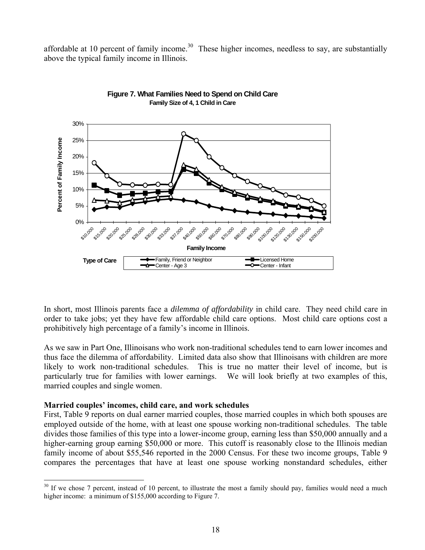affordable at 10 percent of family income.<sup>30</sup> These higher incomes, needless to say, are substantially above the typical family income in Illinois.



#### **Figure 7. What Families Need to Spend on Child Care Family Size of 4, 1 Child in Care**

In short, most Illinois parents face a *dilemma of affordability* in child care. They need child care in order to take jobs; yet they have few affordable child care options. Most child care options cost a prohibitively high percentage of a family's income in Illinois.

As we saw in Part One, Illinoisans who work non-traditional schedules tend to earn lower incomes and thus face the dilemma of affordability. Limited data also show that Illinoisans with children are more likely to work non-traditional schedules. This is true no matter their level of income, but is particularly true for families with lower earnings. We will look briefly at two examples of this, married couples and single women.

### **Married couples' incomes, child care, and work schedules**

1

First, Table 9 reports on dual earner married couples, those married couples in which both spouses are employed outside of the home, with at least one spouse working non-traditional schedules. The table divides those families of this type into a lower-income group, earning less than \$50,000 annually and a higher-earning group earning \$50,000 or more. This cutoff is reasonably close to the Illinois median family income of about \$55,546 reported in the 2000 Census. For these two income groups, Table 9 compares the percentages that have at least one spouse working nonstandard schedules, either

<span id="page-27-0"></span> $30$  If we chose 7 percent, instead of 10 percent, to illustrate the most a family should pay, families would need a much higher income: a minimum of \$155,000 according to Figure 7.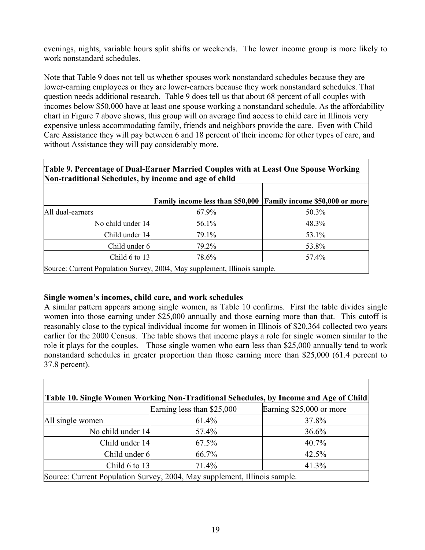evenings, nights, variable hours split shifts or weekends. The lower income group is more likely to work nonstandard schedules.

Note that Table 9 does not tell us whether spouses work nonstandard schedules because they are lower-earning employees or they are lower-earners because they work nonstandard schedules. That question needs additional research. Table 9 does tell us that about 68 percent of all couples with incomes below \$50,000 have at least one spouse working a nonstandard schedule. As the affordability chart in Figure 7 above shows, this group will on average find access to child care in Illinois very expensive unless accommodating family, friends and neighbors provide the care. Even with Child Care Assistance they will pay between 6 and 18 percent of their income for other types of care, and without Assistance they will pay considerably more.

| Table 9. Percentage of Dual-Earner Married Couples with at Least One Spouse Working<br>Non-traditional Schedules, by income and age of child |                                                                 |       |  |  |  |  |  |  |  |
|----------------------------------------------------------------------------------------------------------------------------------------------|-----------------------------------------------------------------|-------|--|--|--|--|--|--|--|
|                                                                                                                                              | Family income less than \$50,000 Family income \$50,000 or more |       |  |  |  |  |  |  |  |
| All dual-earners                                                                                                                             | 67.9%                                                           | 50.3% |  |  |  |  |  |  |  |
| No child under 14                                                                                                                            | 56.1%                                                           | 48.3% |  |  |  |  |  |  |  |
| Child under 14                                                                                                                               | 79.1%                                                           | 53.1% |  |  |  |  |  |  |  |
| Child under 6                                                                                                                                | 79.2%                                                           | 53.8% |  |  |  |  |  |  |  |

Source: Current Population Survey, 2004, May supplement, Illinois sample.

### **Single women's incomes, child care, and work schedules**

A similar pattern appears among single women, as Table 10 confirms. First the table divides single women into those earning under \$25,000 annually and those earning more than that. This cutoff is reasonably close to the typical individual income for women in Illinois of \$20,364 collected two years earlier for the 2000 Census. The table shows that income plays a role for single women similar to the role it plays for the couples. Those single women who earn less than \$25,000 annually tend to work nonstandard schedules in greater proportion than those earning more than \$25,000 (61.4 percent to 37.8 percent).

Child 6 to 13 78.6% 78.6% 78.6%

| Table 10. Single Women Working Non-Traditional Schedules, by Income and Age of Child |       |       |  |  |  |  |  |  |  |  |
|--------------------------------------------------------------------------------------|-------|-------|--|--|--|--|--|--|--|--|
| Earning less than \$25,000<br>Earning \$25,000 or more                               |       |       |  |  |  |  |  |  |  |  |
| All single women                                                                     | 61.4% | 37.8% |  |  |  |  |  |  |  |  |
| No child under 14                                                                    | 57.4% | 36.6% |  |  |  |  |  |  |  |  |
| Child under 14                                                                       | 67.5% | 40.7% |  |  |  |  |  |  |  |  |
| Child under 6                                                                        | 66.7% | 42.5% |  |  |  |  |  |  |  |  |
| Child 6 to 13                                                                        | 71.4% | 41.3% |  |  |  |  |  |  |  |  |
| Source: Current Population Survey, 2004, May supplement, Illinois sample.            |       |       |  |  |  |  |  |  |  |  |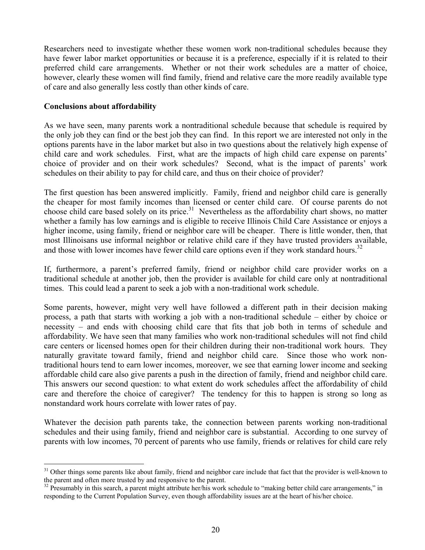Researchers need to investigate whether these women work non-traditional schedules because they have fewer labor market opportunities or because it is a preference, especially if it is related to their preferred child care arrangements. Whether or not their work schedules are a matter of choice, however, clearly these women will find family, friend and relative care the more readily available type of care and also generally less costly than other kinds of care.

## **Conclusions about affordability**

<u>.</u>

As we have seen, many parents work a nontraditional schedule because that schedule is required by the only job they can find or the best job they can find. In this report we are interested not only in the options parents have in the labor market but also in two questions about the relatively high expense of child care and work schedules. First, what are the impacts of high child care expense on parents' choice of provider and on their work schedules? Second, what is the impact of parents' work schedules on their ability to pay for child care, and thus on their choice of provider?

The first question has been answered implicitly. Family, friend and neighbor child care is generally the cheaper for most family incomes than licensed or center child care. Of course parents do not choose child care based solely on its price.<sup>31</sup> Nevertheless as the affordability chart shows, no matter whether a family has low earnings and is eligible to receive Illinois Child Care Assistance or enjoys a higher income, using family, friend or neighbor care will be cheaper. There is little wonder, then, that most Illinoisans use informal neighbor or relative child care if they have trusted providers available, and those with lower incomes have fewer child care options even if they work standard hours.<sup>[32](#page-29-1)</sup>

If, furthermore, a parent's preferred family, friend or neighbor child care provider works on a traditional schedule at another job, then the provider is available for child care only at nontraditional times. This could lead a parent to seek a job with a non-traditional work schedule.

Some parents, however, might very well have followed a different path in their decision making process, a path that starts with working a job with a non-traditional schedule – either by choice or necessity – and ends with choosing child care that fits that job both in terms of schedule and affordability. We have seen that many families who work non-traditional schedules will not find child care centers or licensed homes open for their children during their non-traditional work hours. They naturally gravitate toward family, friend and neighbor child care. Since those who work nontraditional hours tend to earn lower incomes, moreover, we see that earning lower income and seeking affordable child care also give parents a push in the direction of family, friend and neighbor child care. This answers our second question: to what extent do work schedules affect the affordability of child care and therefore the choice of caregiver? The tendency for this to happen is strong so long as nonstandard work hours correlate with lower rates of pay.

Whatever the decision path parents take, the connection between parents working non-traditional schedules and their using family, friend and neighbor care is substantial. According to one survey of parents with low incomes, 70 percent of parents who use family, friends or relatives for child care rely

<span id="page-29-0"></span> $31$  Other things some parents like about family, friend and neighbor care include that fact that the provider is well-known to the parent and often more trusted by and responsive to the parent.

<span id="page-29-1"></span> $32$  Presumably in this search, a parent might attribute her/his work schedule to "making better child care arrangements," in responding to the Current Population Survey, even though affordability issues are at the heart of his/her choice.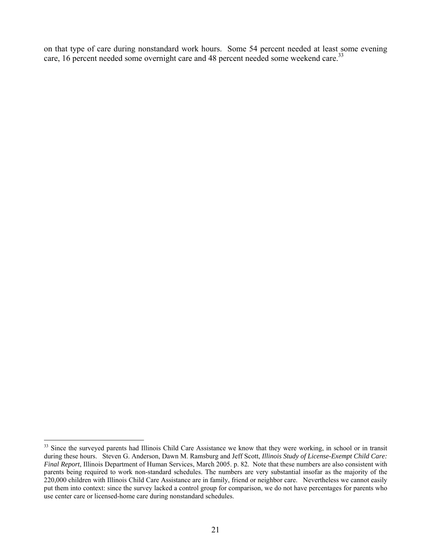on that type of care during nonstandard work hours. Some 54 percent needed at least some evening care, 16 percent needed some overnight care and 48 percent needed some weekend care.<sup>33</sup>

<u>.</u>

<span id="page-30-0"></span><sup>&</sup>lt;sup>33</sup> Since the surveyed parents had Illinois Child Care Assistance we know that they were working, in school or in transit during these hours. Steven G. Anderson, Dawn M. Ramsburg and Jeff Scott, *Illinois Study of License-Exempt Child Care: Final Report*, Illinois Department of Human Services, March 2005. p. 82. Note that these numbers are also consistent with parents being required to work non-standard schedules. The numbers are very substantial insofar as the majority of the 220,000 children with Illinois Child Care Assistance are in family, friend or neighbor care. Nevertheless we cannot easily put them into context: since the survey lacked a control group for comparison, we do not have percentages for parents who use center care or licensed-home care during nonstandard schedules.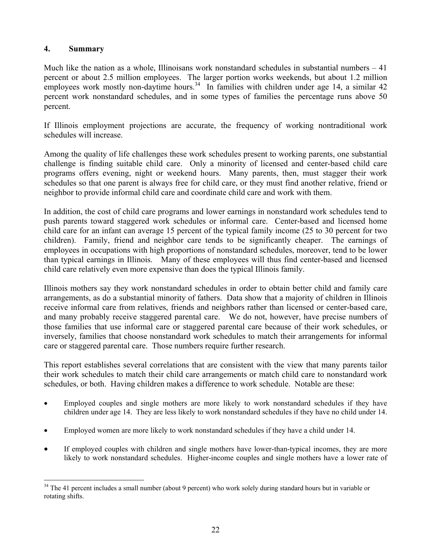# **4. Summary**

1

Much like the nation as a whole, Illinoisans work nonstandard schedules in substantial numbers  $-41$ percent or about 2.5 million employees. The larger portion works weekends, but about 1.2 million employees work mostly non-daytime hours.<sup>34</sup> In families with children under age 14, a similar 42 percent work nonstandard schedules, and in some types of families the percentage runs above 50 percent.

If Illinois employment projections are accurate, the frequency of working nontraditional work schedules will increase.

Among the quality of life challenges these work schedules present to working parents, one substantial challenge is finding suitable child care. Only a minority of licensed and center-based child care programs offers evening, night or weekend hours. Many parents, then, must stagger their work schedules so that one parent is always free for child care, or they must find another relative, friend or neighbor to provide informal child care and coordinate child care and work with them.

In addition, the cost of child care programs and lower earnings in nonstandard work schedules tend to push parents toward staggered work schedules or informal care. Center-based and licensed home child care for an infant can average 15 percent of the typical family income (25 to 30 percent for two children). Family, friend and neighbor care tends to be significantly cheaper. The earnings of employees in occupations with high proportions of nonstandard schedules, moreover, tend to be lower than typical earnings in Illinois. Many of these employees will thus find center-based and licensed child care relatively even more expensive than does the typical Illinois family.

Illinois mothers say they work nonstandard schedules in order to obtain better child and family care arrangements, as do a substantial minority of fathers. Data show that a majority of children in Illinois receive informal care from relatives, friends and neighbors rather than licensed or center-based care, and many probably receive staggered parental care. We do not, however, have precise numbers of those families that use informal care or staggered parental care because of their work schedules, or inversely, families that choose nonstandard work schedules to match their arrangements for informal care or staggered parental care. Those numbers require further research.

This report establishes several correlations that are consistent with the view that many parents tailor their work schedules to match their child care arrangements or match child care to nonstandard work schedules, or both. Having children makes a difference to work schedule. Notable are these:

- Employed couples and single mothers are more likely to work nonstandard schedules if they have children under age 14. They are less likely to work nonstandard schedules if they have no child under 14.
- Employed women are more likely to work nonstandard schedules if they have a child under 14.
- If employed couples with children and single mothers have lower-than-typical incomes, they are more likely to work nonstandard schedules. Higher-income couples and single mothers have a lower rate of

<span id="page-31-0"></span><sup>&</sup>lt;sup>34</sup> The 41 percent includes a small number (about 9 percent) who work solely during standard hours but in variable or rotating shifts.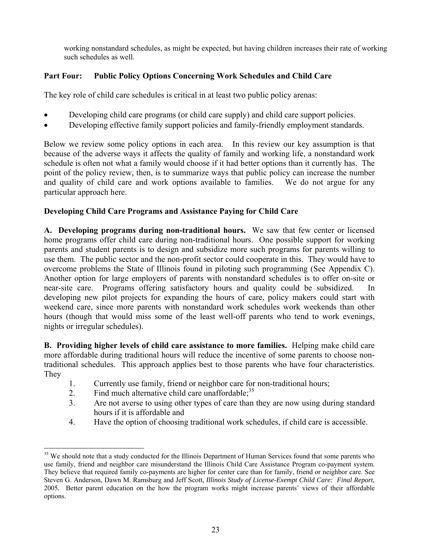working nonstandard schedules, as might be expected, but having children increases their rate of working such schedules as well.

# **Part Four: Public Policy Options Concerning Work Schedules and Child Care**

The key role of child care schedules is critical in at least two public policy arenas:

- Developing child care programs (or child care supply) and child care support policies.
- Developing effective family support policies and family-friendly employment standards.

Below we review some policy options in each area. In this review our key assumption is that because of the adverse ways it affects the quality of family and working life, a nonstandard work schedule is often not what a family would choose if it had better options than it currently has. The point of the policy review, then, is to summarize ways that public policy can increase the number and quality of child care and work options available to families. We do not argue for any particular approach here.

# **Developing Child Care Programs and Assistance Paying for Child Care**

**A. Developing programs during non-traditional hours.** We saw that few center or licensed home programs offer child care during non-traditional hours. One possible support for working parents and student parents is to design and subsidize more such programs for parents willing to use them. The public sector and the non-profit sector could cooperate in this. They would have to overcome problems the State of Illinois found in piloting such programming (See Appendix C). Another option for large employers of parents with nonstandard schedules is to offer on-site or near-site care. Programs offering satisfactory hours and quality could be subsidized. developing new pilot projects for expanding the hours of care, policy makers could start with weekend care, since more parents with nonstandard work schedules work weekends than other hours (though that would miss some of the least well-off parents who tend to work evenings, nights or irregular schedules).

**B. Providing higher levels of child care assistance to more families.** Helping make child care more affordable during traditional hours will reduce the incentive of some parents to choose nontraditional schedules. This approach applies best to those parents who have four characteristics. They

- 1. Currently use family, friend or neighbor care for non-traditional hours;
- 2. Find much alternative child care unaffordable;  $35$
- 3. Are not averse to using other types of care than they are now using during standard hours if it is affordable and
- 4. Have the option of choosing traditional work schedules, if child care is accessible.

<span id="page-32-0"></span><sup>1</sup> <sup>35</sup> We should note that a study conducted for the Illinois Department of Human Services found that some parents who use family, friend and neighbor care misunderstand the Illinois Child Care Assistance Program co-payment system. They believe that required family co-payments are higher for center care than for family, friend or neighbor care. See Steven G. Anderson, Dawn M. Ramsburg and Jeff Scott, *Illinois Study of License-Exempt Child Care: Final Report,* 2005*.* Better parent education on the how the program works might increase parents' views of their affordable options.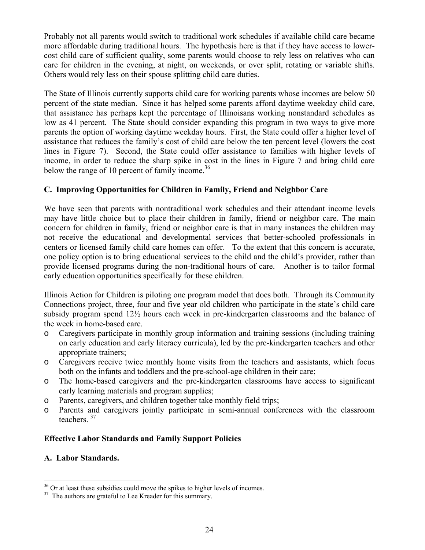Probably not all parents would switch to traditional work schedules if available child care became more affordable during traditional hours. The hypothesis here is that if they have access to lowercost child care of sufficient quality, some parents would choose to rely less on relatives who can care for children in the evening, at night, on weekends, or over split, rotating or variable shifts. Others would rely less on their spouse splitting child care duties.

The State of Illinois currently supports child care for working parents whose incomes are below 50 percent of the state median. Since it has helped some parents afford daytime weekday child care, that assistance has perhaps kept the percentage of Illinoisans working nonstandard schedules as low as 41 percent. The State should consider expanding this program in two ways to give more parents the option of working daytime weekday hours. First, the State could offer a higher level of assistance that reduces the family's cost of child care below the ten percent level (lowers the cost lines in Figure 7). Second, the State could offer assistance to families with higher levels of income, in order to reduce the sharp spike in cost in the lines in Figure 7 and bring child care below the range of 10 percent of family income.<sup>[36](#page-33-0)</sup>

# **C. Improving Opportunities for Children in Family, Friend and Neighbor Care**

We have seen that parents with nontraditional work schedules and their attendant income levels may have little choice but to place their children in family, friend or neighbor care. The main concern for children in family, friend or neighbor care is that in many instances the children may not receive the educational and developmental services that better-schooled professionals in centers or licensed family child care homes can offer. To the extent that this concern is accurate, one policy option is to bring educational services to the child and the child's provider, rather than provide licensed programs during the non-traditional hours of care. Another is to tailor formal early education opportunities specifically for these children.

Illinois Action for Children is piloting one program model that does both. Through its Community Connections project, three, four and five year old children who participate in the state's child care subsidy program spend 12½ hours each week in pre-kindergarten classrooms and the balance of the week in home-based care.

- o Caregivers participate in monthly group information and training sessions (including training on early education and early literacy curricula), led by the pre-kindergarten teachers and other appropriate trainers;
- o Caregivers receive twice monthly home visits from the teachers and assistants, which focus both on the infants and toddlers and the pre-school-age children in their care;
- o The home-based caregivers and the pre-kindergarten classrooms have access to significant early learning materials and program supplies;
- o Parents, caregivers, and children together take monthly field trips;
- o Parents and caregivers jointly participate in semi-annual conferences with the classroom teachers. [37](#page-33-1)

# **Effective Labor Standards and Family Support Policies**

### **A. Labor Standards.**

1

<span id="page-33-0"></span> $36$  Or at least these subsidies could move the spikes to higher levels of incomes.<br><sup>37</sup> The authors are grateful to Lee Kreader for this summary.

<span id="page-33-1"></span>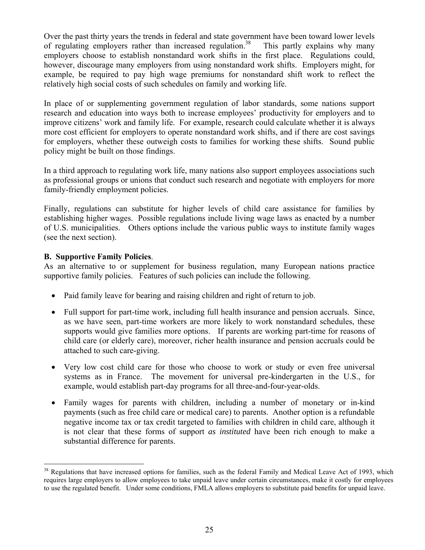Over the past thirty years the trends in federal and state government have been toward lower levels of regulating employers rather than increased regulation.<sup>38</sup> This partly explains why many employers choose to establish nonstandard work shifts in the first place. Regulations could, however, discourage many employers from using nonstandard work shifts. Employers might, for example, be required to pay high wage premiums for nonstandard shift work to reflect the relatively high social costs of such schedules on family and working life.

In place of or supplementing government regulation of labor standards, some nations support research and education into ways both to increase employees' productivity for employers and to improve citizens' work and family life. For example, research could calculate whether it is always more cost efficient for employers to operate nonstandard work shifts, and if there are cost savings for employers, whether these outweigh costs to families for working these shifts. Sound public policy might be built on those findings.

In a third approach to regulating work life, many nations also support employees associations such as professional groups or unions that conduct such research and negotiate with employers for more family-friendly employment policies.

Finally, regulations can substitute for higher levels of child care assistance for families by establishing higher wages. Possible regulations include living wage laws as enacted by a number of U.S. municipalities. Others options include the various public ways to institute family wages (see the next section).

## **B. Supportive Family Policies**.

<u>.</u>

As an alternative to or supplement for business regulation, many European nations practice supportive family policies. Features of such policies can include the following.

- Paid family leave for bearing and raising children and right of return to job.
- Full support for part-time work, including full health insurance and pension accruals. Since, as we have seen, part-time workers are more likely to work nonstandard schedules, these supports would give families more options. If parents are working part-time for reasons of child care (or elderly care), moreover, richer health insurance and pension accruals could be attached to such care-giving.
- Very low cost child care for those who choose to work or study or even free universal systems as in France. The movement for universal pre-kindergarten in the U.S., for example, would establish part-day programs for all three-and-four-year-olds.
- Family wages for parents with children, including a number of monetary or in-kind payments (such as free child care or medical care) to parents. Another option is a refundable negative income tax or tax credit targeted to families with children in child care, although it is not clear that these forms of support *as instituted* have been rich enough to make a substantial difference for parents.

<span id="page-34-0"></span><sup>&</sup>lt;sup>38</sup> Regulations that have increased options for families, such as the federal Family and Medical Leave Act of 1993, which requires large employers to allow employees to take unpaid leave under certain circumstances, make it costly for employees to use the regulated benefit. Under some conditions, FMLA allows employers to substitute paid benefits for unpaid leave.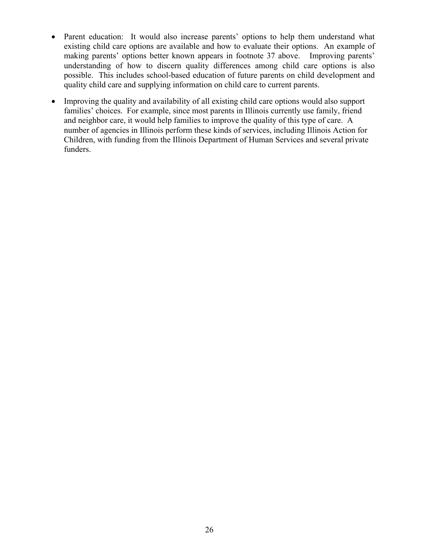- Parent education: It would also increase parents' options to help them understand what existing child care options are available and how to evaluate their options. An example of making parents' options better known appears in footnote 37 above. Improving parents' understanding of how to discern quality differences among child care options is also possible. This includes school-based education of future parents on child development and quality child care and supplying information on child care to current parents.
- Improving the quality and availability of all existing child care options would also support families' choices. For example, since most parents in Illinois currently use family, friend and neighbor care, it would help families to improve the quality of this type of care. A number of agencies in Illinois perform these kinds of services, including Illinois Action for Children, with funding from the Illinois Department of Human Services and several private funders.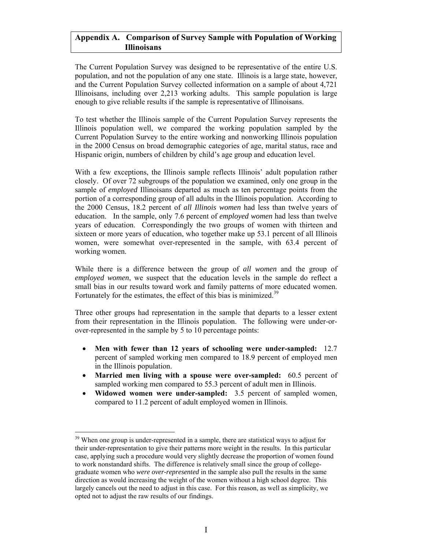#### **Appendix A. Comparison of Survey Sample with Population of Working Illinoisans**

The Current Population Survey was designed to be representative of the entire U.S. population, and not the population of any one state. Illinois is a large state, however, and the Current Population Survey collected information on a sample of about 4,721 Illinoisans, including over 2,213 working adults. This sample population is large enough to give reliable results if the sample is representative of Illinoisans.

To test whether the Illinois sample of the Current Population Survey represents the Illinois population well, we compared the working population sampled by the Current Population Survey to the entire working and nonworking Illinois population in the 2000 Census on broad demographic categories of age, marital status, race and Hispanic origin, numbers of children by child's age group and education level.

With a few exceptions, the Illinois sample reflects Illinois' adult population rather closely. Of over 72 subgroups of the population we examined, only one group in the sample of *employed* Illinoisans departed as much as ten percentage points from the portion of a corresponding group of all adults in the Illinois population. According to the 2000 Census, 18.2 percent of *all Illinois women* had less than twelve years of education. In the sample, only 7.6 percent of *employed women* had less than twelve years of education. Correspondingly the two groups of women with thirteen and sixteen or more years of education, who together make up 53.1 percent of all Illinois women, were somewhat over-represented in the sample, with 63.4 percent of working women.

While there is a difference between the group of *all women* and the group of *employed women*, we suspect that the education levels in the sample do reflect a small bias in our results toward work and family patterns of more educated women. Fortunately for the estimates, the effect of this bias is minimized.<sup>[39](#page-36-0)</sup>

Three other groups had representation in the sample that departs to a lesser extent from their representation in the Illinois population. The following were under-orover-represented in the sample by 5 to 10 percentage points:

- **Men with fewer than 12 years of schooling were under-sampled:** 12.7 percent of sampled working men compared to 18.9 percent of employed men in the Illinois population.
- **Married men living with a spouse were over-sampled:** 60.5 percent of sampled working men compared to 55.3 percent of adult men in Illinois.
- **Widowed women were under-sampled:** 3.5 percent of sampled women, compared to 11.2 percent of adult employed women in Illinois.

 $\overline{a}$ 

<span id="page-36-0"></span><sup>&</sup>lt;sup>39</sup> When one group is under-represented in a sample, there are statistical ways to adjust for their under-representation to give their patterns more weight in the results. In this particular case, applying such a procedure would very slightly decrease the proportion of women found to work nonstandard shifts. The difference is relatively small since the group of collegegraduate women who *were over-represented* in the sample also pull the results in the same direction as would increasing the weight of the women without a high school degree. This largely cancels out the need to adjust in this case. For this reason, as well as simplicity, we opted not to adjust the raw results of our findings.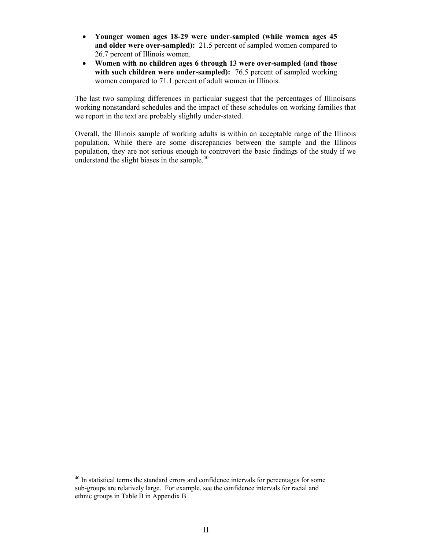- **Younger women ages 18-29 were under-sampled (while women ages 45 and older were over-sampled):** 21.5 percent of sampled women compared to 26.7 percent of Illinois women.
- **Women with no children ages 6 through 13 were over-sampled (and those with such children were under-sampled):** 76.5 percent of sampled working women compared to 71.1 percent of adult women in Illinois.

The last two sampling differences in particular suggest that the percentages of Illinoisans working nonstandard schedules and the impact of these schedules on working families that we report in the text are probably slightly under-stated.

Overall, the Illinois sample of working adults is within an acceptable range of the Illinois population. While there are some discrepancies between the sample and the Illinois population, they are not serious enough to controvert the basic findings of the study if we understand the slight biases in the sample. $40$ 

 $\overline{a}$ 

<span id="page-37-0"></span> $40$  In statistical terms the standard errors and confidence intervals for percentages for some sub-groups are relatively large. For example, see the confidence intervals for racial and ethnic groups in Table B in Appendix B.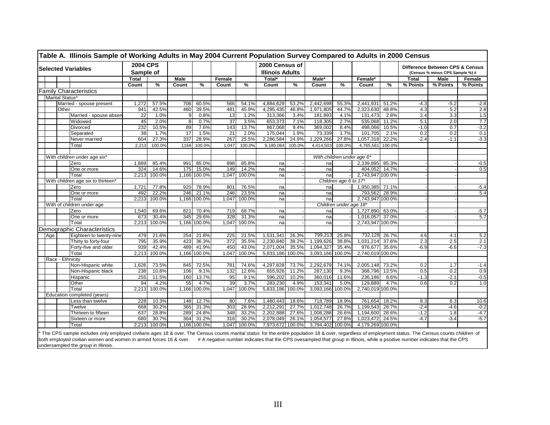|     |                  | <b>Selected Variables</b>          |       | <b>2004 CPS</b><br>Sample of |                |              |                 |        | 2000 Census of<br><b>Illinois Adults</b> |        |                  |                            |                  |        |              | Difference Between CPS & Census<br>(Census % minus CPS Sample %) # |          |
|-----|------------------|------------------------------------|-------|------------------------------|----------------|--------------|-----------------|--------|------------------------------------------|--------|------------------|----------------------------|------------------|--------|--------------|--------------------------------------------------------------------|----------|
|     |                  |                                    | Total |                              | <b>Male</b>    |              | Female          |        | Total*                                   |        | Male*            |                            | Female*          |        | <b>Total</b> | Male                                                               | Female   |
|     |                  |                                    | Count | %                            | Count          | %            | Count           | %      | Count                                    | %      | Count            | ℅                          | Count            | %      | % Points     | % Points                                                           | % Points |
|     |                  | <b>Family Characteristics</b>      |       |                              |                |              |                 |        |                                          |        |                  |                            |                  |        |              |                                                                    |          |
|     | Marital Status*  |                                    |       |                              |                |              |                 |        |                                          |        |                  |                            |                  |        |              |                                                                    |          |
|     |                  | Married - spouse present           | 1.272 | 57.5%                        | 706            | 60.5%        | 566             | 54.1%  | 4,884,629                                | 53.2%  | 2,442,698        | 55.3%                      | 2,441,931        | 51.2%  | $-4.3$       | $-5.2$                                                             | $-2.8$   |
|     | Other            |                                    | 941   | 42.5%                        | 460            | 39.5%        | 481             | 45.9%  | 4,295,435                                | 46.8%  | 1,971,805        | 44.7%                      | 2,323,630        | 48.8%  | 4.3          | 5.2                                                                | 2.8      |
|     |                  | Married - spouse abser             | 22    | 1.0%                         | 9 <sup>1</sup> | 0.8%         | 13              | 1.2%   | 313,366                                  | 3.4%   | 181,893          | 4.1%                       | 131,473          | 2.8%   | 2.4          | 3.3                                                                | 1.5      |
|     |                  | Widowed                            | 45    | 2.0%                         | 8 <sup>1</sup> | 0.7%         | 37              | 3.5%   | 653.373                                  | 7.1%   | 118.305          | 2.7%                       | 535.068          | 11.2%  | 5.1          | 2.0                                                                | 7.7      |
|     |                  | Divorced                           | 232   | 10.5%                        | 89             | 7.6%         | 143             | 13.7%  | 867,068                                  | 9.4%   | 369,002          | 8.4%                       | 498,066          | 10.5%  | $-1.0$       | 0.7                                                                | $-3.2$   |
|     |                  | Separated                          | 38    | 1.7%                         | 17             | 1.5%         | $\overline{21}$ | 2.0%   | 175,044                                  | 1.9%   | 73,339           | 1.7%                       | 101,705          | 2.1%   | 0.2          | 0.2                                                                | 0.1      |
|     |                  | Never married                      | 604   | 27.3%                        | 337            | 28.9%        | 267             | 25.5%  | 2,286,584                                | 24.9%  | 1,229,266        | 27.8%                      | 1,057,318        | 22.2%  | $-2.4$       | $-1.1$                                                             | $-3.3$   |
|     |                  | Total                              | 2,213 | 100.0%                       | 1166           | 100.0%       | 1,047           | 100.0% | 9,180,064                                | 100.0% | 4,414,503        | 100.0%                     | 4,765,561        | 100.0% |              |                                                                    |          |
|     |                  |                                    |       |                              |                |              |                 |        |                                          |        |                  |                            |                  |        |              |                                                                    |          |
|     |                  | With children under age six*       |       |                              |                |              |                 |        |                                          |        |                  | With children under age 6* |                  |        |              |                                                                    |          |
|     |                  | Zero                               | 1.889 | 85.4%                        | 991            | 85.0%        | 898             | 85.8%  | na                                       |        | na               |                            | 2,339,895 85.3%  |        |              |                                                                    | $-0.5$   |
|     |                  | One or more                        | 324   | 14.6%                        | 175            | 15.0%        | 149             | 14.2%  | na                                       |        | na               |                            | 404,052          | 14.7%  |              |                                                                    | 0.5      |
|     |                  | Total                              | 2.213 | 100.0%                       |                | 1.166 100.0% | 1.047           | 100.0% | na                                       |        | na               |                            | 2.743.947 100.0% |        |              |                                                                    |          |
|     |                  | With children age six to thirteen' |       |                              |                |              |                 |        |                                          |        |                  | Children age 6 to 17*      |                  |        |              |                                                                    |          |
|     |                  | Zero                               | 1,721 | 77.8%                        | 920            | 78.9%        | 801             | 76.5%  | na                                       |        | na               |                            | 1,950,385 71.1%  |        |              |                                                                    | $-5.4$   |
|     |                  | One or more                        | 492   | 22.2%                        | 246            | 21.1%        | 246             | 23.5%  | na                                       |        | na               |                            | 793,562 28.9%    |        |              |                                                                    | 5.4      |
|     |                  | Total                              | 2.213 | 100.0%                       |                | 1,166 100.0% | 1,047           | 100.0% | na                                       |        | na               |                            | 2,743,947 100.0% |        |              |                                                                    |          |
|     |                  | With of children under age         |       |                              |                |              |                 |        |                                          |        |                  | Children under age 18*     |                  |        |              |                                                                    |          |
|     |                  | Zero                               | 1,540 | 69.6%                        | 821            | 70.4%        | 719             | 68.7%  | na                                       |        | na               |                            | 1,727,890 63.0%  |        |              |                                                                    | $-5.7$   |
|     |                  | One or more                        | 673   | 30.4%                        | 345            | 29.6%        | 328             | 31.3%  | na                                       |        | na               |                            | 1.016.057        | 37.0%  |              |                                                                    | 5.7      |
|     |                  | Total                              | 2,213 | 100.0%                       |                | 1,166 100.0% | 1,047           | 100.0% | na                                       |        | na               |                            | 2,743,947 100.0% |        |              |                                                                    |          |
|     |                  | Demographic Characteristics        |       |                              |                |              |                 |        |                                          |        |                  |                            |                  |        |              |                                                                    |          |
| Age |                  | Eighteen to twenty-nine            | 479   | 21.6%                        | 254            | 21.8%        | 225             | 21.5%  | 1,531,341                                | 26.3%  | 799,213          | 25.8%                      | 732,128          | 26.7%  | 4.6          | 4.1                                                                | 5.2      |
|     |                  | Thirty to forty-four               | 795   | 35.9%                        | 423            | 36.3%        | 372             | 35.5%  | 2,230,840                                | 38.2%  | 1,199,626        | 38.8%                      | 1,031,214        | 37.6%  | 2.3          | 2.5                                                                | 2.1      |
|     |                  | Forty-five and older               | 939   | 42.4%                        | 489            | 41.9%        | 450             | 43.0%  | 2,071,004                                | 35.5%  | 1,094,327        | 35.4%                      | 976,677          | 35.6%  | $-6.9$       | $-6.6$                                                             | $-7.3$   |
|     |                  | Total                              | 2,213 | 100.0%                       |                | 1,166 100.0% | 1,047           | 100.0% | 5,833,186                                | 100.0% | 3,093,166 100.0% |                            | 2,740,019 100.0% |        |              |                                                                    |          |
|     | Race - Ethnicity |                                    |       |                              |                |              |                 |        |                                          |        |                  |                            |                  |        |              |                                                                    |          |
|     |                  | Non-Hispanic white                 | 1,626 | 73.5%                        | 845            | 72.5%        | 781             | 74.6%  | 4,297,828                                | 73.7%  | 2,292,679        | 74.1%                      | 2,005,148        | 73.2%  | 0.2          | 1.7                                                                | $-1.4$   |
|     |                  | Non-Hispanic black                 | 238   | 10.8%                        | 106            | 9.1%         | 132             | 12.6%  | 655,926                                  | 11.2%  | 287,130          | 9.3%                       | 368,796          | 13.5%  | 0.5          | 0.2                                                                | 0.9      |
|     |                  | Hispanic                           | 255   | 11.5%                        | 160            | 13.7%        | 95              | 9.1%   | 596,202                                  | 10.2%  | 360,016          | 11.6%                      | 236,186          | 8.6%   | $-1.3$       | $-2.1$                                                             | $-0.5$   |
|     |                  | Other                              | 94    | 4.2%                         | 55             | 4.7%         | 39              | 3.7%   | 283,230                                  | 4.9%   | 153,341          | 5.0%                       | 129,889          | 4.7%   | 0.6          | 0.2                                                                | 1.0      |
|     |                  | Total                              | 2,213 | 100.0%                       |                | 1,166 100.0% | 1,047           | 100.0% | 5,833,186                                | 100.0% | 3,093,166 100.0% |                            | 2,740,019 100.0% |        |              |                                                                    |          |
|     |                  | Education completed (years)        |       |                              |                |              |                 |        |                                          |        |                  |                            |                  |        |              |                                                                    |          |
|     |                  | Less than twelve                   | 228   | 10.3%                        |                | 148 12.7%    | 80              | 7.6%   | 1,480,443                                | 18.6%  | 718,789          | 18.9%                      | 761,654          | 18.2%  | 8.3          | 6.3                                                                | 10.6     |
|     |                  | Twelve                             | 668   | 30.2%                        | 365            | 31.3%        | 303             | 28.9%  | 2,212,291                                | 27.7%  | 1,012,748        | 26.7%                      | 1.199.543        | 28.7%  | $-2.4$       | $-4.6$                                                             | $-0.2$   |
|     |                  | Thirteen to fifteen                | 637   | 28.8%                        | 289            | 24.8%        | 348             | 33.2%  | 2,202,888                                | 27.6%  | 1,008,288        | 26.6%                      | 1,194,600        | 28.6%  | $-1.2$       | 1.8                                                                | $-4.7$   |
|     |                  | Sixteen or more                    | 680   | 30.7%                        | 364            | 31.2%        | 316             | 30.2%  | 2,078,049                                | 26.1%  | 1,054,577        | 27.8%                      | 1,023,472        | 24.5%  | $-4.7$       | $-3.4$                                                             | $-5.7$   |
|     |                  | Total                              | 2.213 | 100.0%                       |                | 1,166 100.0% | 1.047           | 100.0% | 7,973,672 100.0%                         |        | 3,794,402 100.0% |                            | 4,179,269 100.0% |        |              |                                                                    |          |

\* The CPS sample includes only employed civilians ages 18 & over. The Census counts *marital status* for the entire population 18 & over, regardless of employment status. The Census counts *children* of both employed civilian women and women in armed forces 16 & over. #A negative number indicates that the CPS ovesampled that group in Illinois, while a psoitive number indicates that the CPS undersampled the group in Illinois.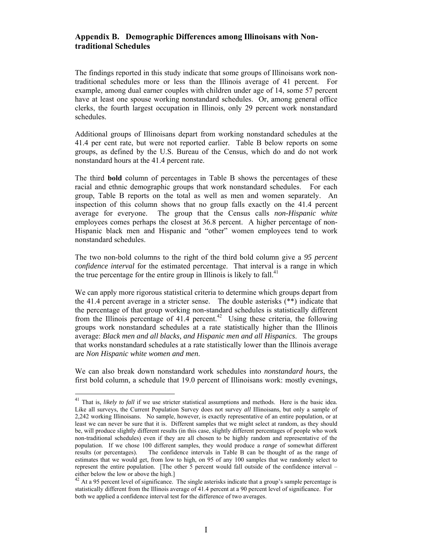### **Appendix B. Demographic Differences among Illinoisans with Nontraditional Schedules**

The findings reported in this study indicate that some groups of Illinoisans work nontraditional schedules more or less than the Illinois average of 41 percent. For example, among dual earner couples with children under age of 14, some 57 percent have at least one spouse working nonstandard schedules. Or, among general office clerks, the fourth largest occupation in Illinois, only 29 percent work nonstandard schedules.

Additional groups of Illinoisans depart from working nonstandard schedules at the 41.4 per cent rate, but were not reported earlier. Table B below reports on some groups, as defined by the U.S. Bureau of the Census, which do and do not work nonstandard hours at the 41.4 percent rate.

The third **bold** column of percentages in Table B shows the percentages of these racial and ethnic demographic groups that work nonstandard schedules. For each group, Table B reports on the total as well as men and women separately. An inspection of this column shows that no group falls exactly on the 41.4 percent average for everyone. The group that the Census calls *non-Hispanic white*  employees comes perhaps the closest at 36.8 percent. A higher percentage of non-Hispanic black men and Hispanic and "other" women employees tend to work nonstandard schedules.

The two non-bold columns to the right of the third bold column give a *95 percent confidence interval* for the estimated percentage. That interval is a range in which the true percentage for the entire group in Illinois is likely to fall. $41$ 

We can apply more rigorous statistical criteria to determine which groups depart from the 41.4 percent average in a stricter sense. The double asterisks (\*\*) indicate that the percentage of that group working non-standard schedules is statistically different from the Illinois percentage of  $41.4$  percent.<sup>42</sup> Using these criteria, the following groups work nonstandard schedules at a rate statistically higher than the Illinois average: *Black men and all blacks, and Hispanic men and all Hispanics*. The groups that works nonstandard schedules at a rate statistically lower than the Illinois average are *Non Hispanic white women and men*.

We can also break down nonstandard work schedules into *nonstandard hours*, the first bold column, a schedule that 19.0 percent of Illinoisans work: mostly evenings,

 $\overline{a}$ 

<span id="page-39-0"></span><sup>&</sup>lt;sup>41</sup> That is, *likely to fall* if we use stricter statistical assumptions and methods. Here is the basic idea. Like all surveys, the Current Population Survey does not survey *all* Illinoisans, but only a sample of 2,242 working Illinoisans. No sample, however, is exactly representative of an entire population, or at least we can never be sure that it is. Different samples that we might select at random, as they should be, will produce slightly different results (in this case, slightly different percentages of people who work non-traditional schedules) even if they are all chosen to be highly random and representative of the population. If we chose 100 different samples, they would produce a *range* of somewhat different results (or percentages). The confidence intervals in Table B can be thought of as the range of estimates that we would get, from low to high, on 95 of any 100 samples that we randomly select to represent the entire population. [The other 5 percent would fall outside of the confidence interval – either below the low or above the high.]

<span id="page-39-1"></span> $^{42}$  At a 95 percent level of significance. The single asterisks indicate that a group's sample percentage is statistically different from the Illinois average of 41.4 percent at a 90 percent level of significance. For both we applied a confidence interval test for the difference of two averages.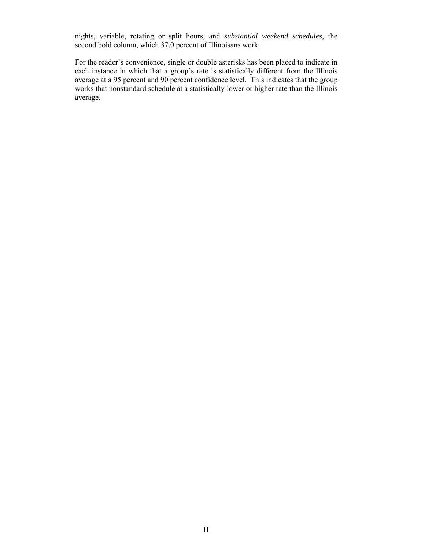nights, variable, rotating or split hours, and *substantial weekend schedules*, the second bold column, which 37.0 percent of Illinoisans work.

For the reader's convenience, single or double asterisks has been placed to indicate in each instance in which that a group's rate is statistically different from the Illinois average at a 95 percent and 90 percent confidence level. This indicates that the group works that nonstandard schedule at a statistically lower or higher rate than the Illinois average.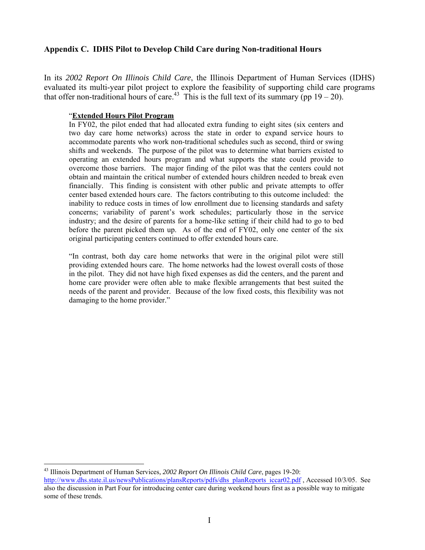## **Appendix C. IDHS Pilot to Develop Child Care during Non-traditional Hours**

In its *2002 Report On Illinois Child Care*, the Illinois Department of Human Services (IDHS) evaluated its multi-year pilot project to explore the feasibility of supporting child care programs that offer non-traditional hours of care.<sup>43</sup> This is the full text of its summary (pp  $19-20$ ).

#### "**Extended Hours Pilot Program**

In FY02, the pilot ended that had allocated extra funding to eight sites (six centers and two day care home networks) across the state in order to expand service hours to accommodate parents who work non-traditional schedules such as second, third or swing shifts and weekends. The purpose of the pilot was to determine what barriers existed to operating an extended hours program and what supports the state could provide to overcome those barriers. The major finding of the pilot was that the centers could not obtain and maintain the critical number of extended hours children needed to break even financially. This finding is consistent with other public and private attempts to offer center based extended hours care. The factors contributing to this outcome included: the inability to reduce costs in times of low enrollment due to licensing standards and safety concerns; variability of parent's work schedules; particularly those in the service industry; and the desire of parents for a home-like setting if their child had to go to bed before the parent picked them up. As of the end of FY02, only one center of the six original participating centers continued to offer extended hours care.

"In contrast, both day care home networks that were in the original pilot were still providing extended hours care. The home networks had the lowest overall costs of those in the pilot. They did not have high fixed expenses as did the centers, and the parent and home care provider were often able to make flexible arrangements that best suited the needs of the parent and provider. Because of the low fixed costs, this flexibility was not damaging to the home provider."

<u>.</u>

<span id="page-42-0"></span><sup>43</sup> Illinois Department of Human Services*, 2002 Report On Illinois Child Care*, pages 19-20:

[http://www.dhs.state.il.us/newsPublications/plansReports/pdfs/dhs\\_planReports\\_iccar02.pdf](http://www.dhs.state.il.us/newsPublications/plansReports/pdfs/dhs_planReports_iccar02.pdf) , Accessed 10/3/05. See also the discussion in Part Four for introducing center care during weekend hours first as a possible way to mitigate some of these trends.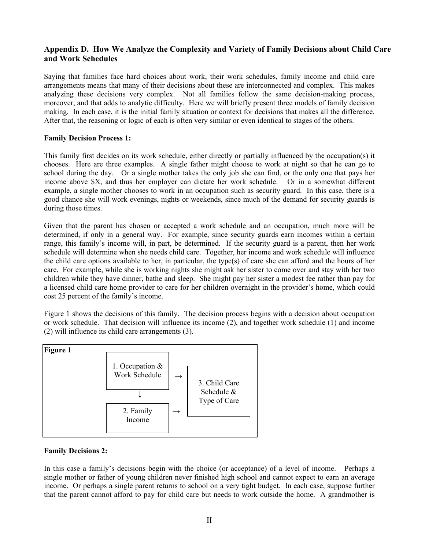## **Appendix D. How We Analyze the Complexity and Variety of Family Decisions about Child Care and Work Schedules**

Saying that families face hard choices about work, their work schedules, family income and child care arrangements means that many of their decisions about these are interconnected and complex. This makes analyzing these decisions very complex. Not all families follow the same decision-making process, moreover, and that adds to analytic difficulty. Here we will briefly present three models of family decision making. In each case, it is the initial family situation or context for decisions that makes all the difference. After that, the reasoning or logic of each is often very similar or even identical to stages of the others.

#### **Family Decision Process 1:**

This family first decides on its work schedule, either directly or partially influenced by the occupation(s) it chooses. Here are three examples. A single father might choose to work at night so that he can go to school during the day. Or a single mother takes the only job she can find, or the only one that pays her income above \$X, and thus her employer can dictate her work schedule. Or in a somewhat different example, a single mother chooses to work in an occupation such as security guard. In this case, there is a good chance she will work evenings, nights or weekends, since much of the demand for security guards is during those times.

Given that the parent has chosen or accepted a work schedule and an occupation, much more will be determined, if only in a general way. For example, since security guards earn incomes within a certain range, this family's income will, in part, be determined. If the security guard is a parent, then her work schedule will determine when she needs child care. Together, her income and work schedule will influence the child care options available to her, in particular, the type(s) of care she can afford and the hours of her care. For example, while she is working nights she might ask her sister to come over and stay with her two children while they have dinner, bathe and sleep. She might pay her sister a modest fee rather than pay for a licensed child care home provider to care for her children overnight in the provider's home, which could cost 25 percent of the family's income.

Figure 1 shows the decisions of this family. The decision process begins with a decision about occupation or work schedule. That decision will influence its income (2), and together work schedule (1) and income (2) will influence its child care arrangements (3).



### **Family Decisions 2:**

In this case a family's decisions begin with the choice (or acceptance) of a level of income. Perhaps a single mother or father of young children never finished high school and cannot expect to earn an average income. Or perhaps a single parent returns to school on a very tight budget. In each case, suppose further that the parent cannot afford to pay for child care but needs to work outside the home. A grandmother is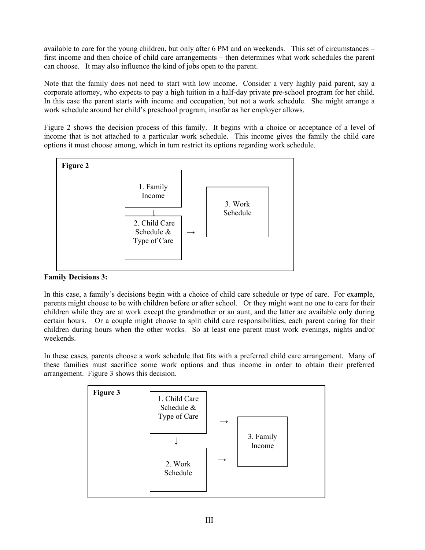available to care for the young children, but only after 6 PM and on weekends. This set of circumstances – first income and then choice of child care arrangements – then determines what work schedules the parent can choose. It may also influence the kind of jobs open to the parent.

Note that the family does not need to start with low income. Consider a very highly paid parent, say a corporate attorney, who expects to pay a high tuition in a half-day private pre-school program for her child. In this case the parent starts with income and occupation, but not a work schedule. She might arrange a work schedule around her child's preschool program, insofar as her employer allows.

Figure 2 shows the decision process of this family. It begins with a choice or acceptance of a level of income that is not attached to a particular work schedule. This income gives the family the child care options it must choose among, which in turn restrict its options regarding work schedule.



### **Family Decisions 3:**

In this case, a family's decisions begin with a choice of child care schedule or type of care. For example, parents might choose to be with children before or after school. Or they might want no one to care for their children while they are at work except the grandmother or an aunt, and the latter are available only during certain hours. Or a couple might choose to split child care responsibilities, each parent caring for their children during hours when the other works. So at least one parent must work evenings, nights and/or weekends.

In these cases, parents choose a work schedule that fits with a preferred child care arrangement. Many of these families must sacrifice some work options and thus income in order to obtain their preferred arrangement. Figure 3 shows this decision.